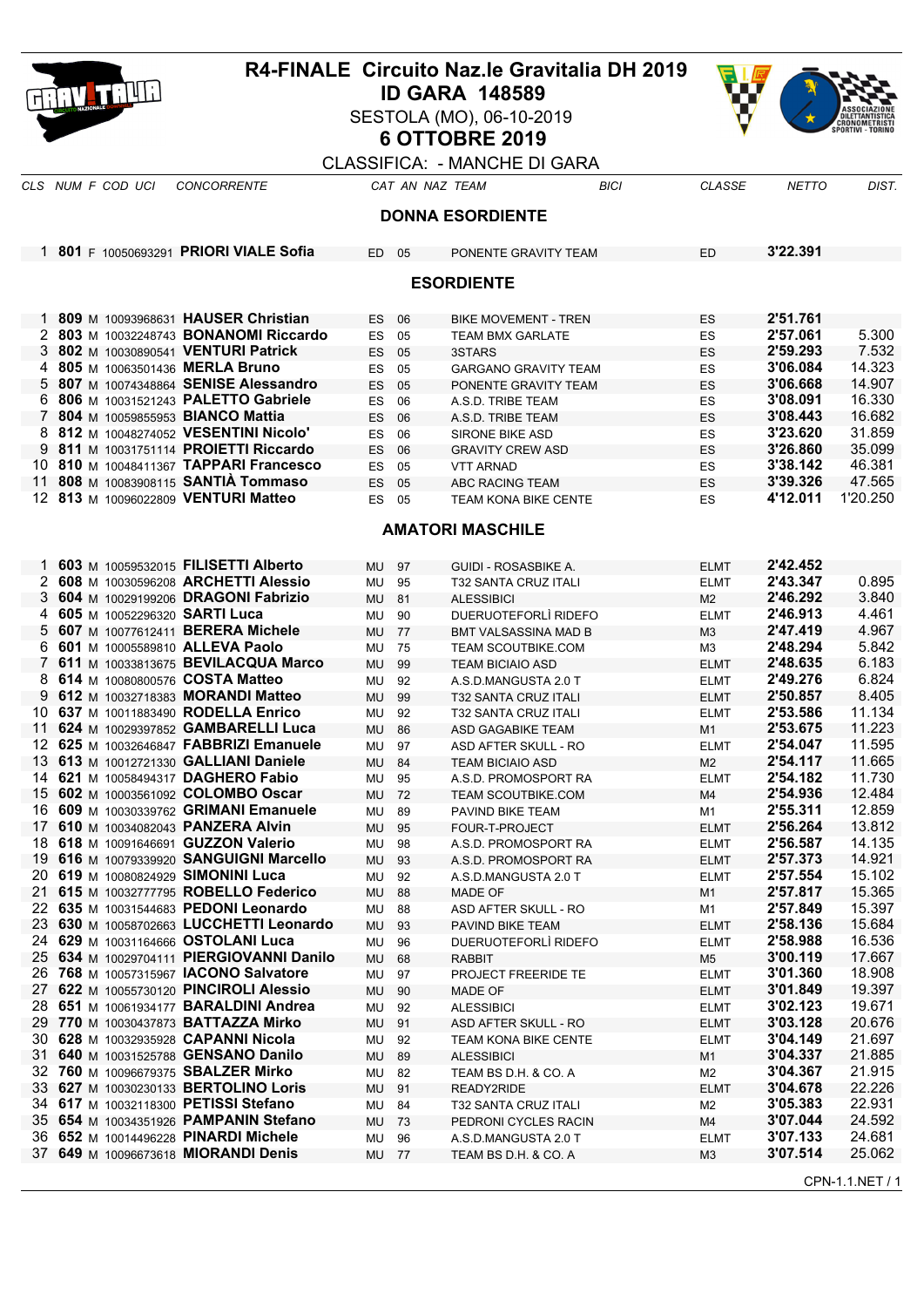| Hill Lilli<br><b>ID GARA 148589</b><br>SESTOLA (MO), 06-10-2019<br><b>6 OTTOBRE 2019</b><br><b>CLASSIFICA: - MANCHE DI GARA</b><br><b>CLASSE</b><br>DIST.<br><b>CONCORRENTE</b><br>CAT AN NAZ TEAM<br><b>BICI</b><br><b>NETTO</b><br><b>DONNA ESORDIENTE</b><br>1 801 F 10050693291 PRIORI VIALE Sofia<br>3'22.391<br>ED 05<br>PONENTE GRAVITY TEAM<br><b>ED</b><br><b>ESORDIENTE</b><br>1 809 M 10093968631 HAUSER Christian<br>2'51.761<br>ES<br>ES<br>06<br><b>BIKE MOVEMENT - TREN</b><br>5.300<br>2 803 M 10032248743 BONANOMI Riccardo<br>2'57.061<br>ES<br>05<br>ES<br><b>TEAM BMX GARLATE</b><br>802 M 10030890541 VENTURI Patrick<br>2'59.293<br>7.532<br>3<br><b>ES</b><br>05<br>3STARS<br>ES<br>3'06.084<br>14.323<br>805 M 10063501436 MERLA Bruno<br>4<br>ES<br>05<br><b>GARGANO GRAVITY TEAM</b><br>ES<br>807 M 10074348864 SENISE Alessandro<br>3'06.668<br>14.907<br>5<br>05<br>ES<br><b>ES</b><br>PONENTE GRAVITY TEAM<br>806 M 10031521243 PALETTO Gabriele<br>3'08.091<br>16.330<br>ES<br>06<br>ES<br>A.S.D. TRIBE TEAM<br>16.682<br>804 M 10059855953 BIANCO Mattia<br>3'08.443<br>7<br><b>ES</b><br>06<br>A.S.D. TRIBE TEAM<br>ES<br>31.859<br>812 M 10048274052 VESENTINI Nicolo'<br>3'23.620<br><b>ES</b><br>06<br><b>SIRONE BIKE ASD</b><br><b>ES</b><br>9 811 M 10031751114 PROIETTI Riccardo<br>3'26.860<br>35.099<br>ES<br>06<br><b>ES</b><br><b>GRAVITY CREW ASD</b><br>10 810 M 10048411367 TAPPARI Francesco<br>3'38.142<br>46.381<br>ES<br>05<br><b>VTT ARNAD</b><br>ES<br>808 M 10083908115 SANTIA Tommaso<br>47.565<br>3'39.326<br>11<br>ES<br>05<br>ABC RACING TEAM<br><b>ES</b><br>4'12.011<br>1'20.250<br>12 813 M 10096022809 VENTURI Matteo<br>ES 05<br><b>TEAM KONA BIKE CENTE</b><br><b>ES</b><br><b>AMATORI MASCHILE</b><br>603 M 10059532015 FILISETTI Alberto<br>2'42.452<br><b>ELMT</b><br>MU<br>97<br>GUIDI - ROSASBIKE A.<br>2'43.347<br>0.895<br>2 608 M 10030596208 ARCHETTI Alessio<br>MU<br>95<br><b>T32 SANTA CRUZ ITALI</b><br>ELMT<br>2'46.292<br>3.840<br>604 M 10029199206 DRAGONI Fabrizio<br>3<br>MU<br>81<br><b>ALESSIBICI</b><br>M <sub>2</sub><br>605 M 10052296320 SARTI Luca<br>2'46.913<br>4.461<br>4<br>MU<br>90<br>DUERUOTEFORLI RIDEFO<br><b>ELMT</b><br>4.967<br>607 M 10077612411 BERERA Michele<br>2'47.419<br>5<br>MU<br>77<br>M <sub>3</sub><br><b>BMT VALSASSINA MAD B</b><br>2'48.294<br>5.842<br>601 M 10005589810 ALLEVA Paolo<br>MU<br>6<br>75<br><b>TEAM SCOUTBIKE.COM</b><br>M3<br>611 M 10033813675 BEVILACQUA Marco<br>2'48.635<br>6.183<br>7<br>99<br>MU<br><b>TEAM BICIAIO ASD</b><br><b>ELMT</b><br>6.824<br>614 M 10080800576 COSTA Matteo<br>2'49.276<br>MU<br>92<br><b>ELMT</b><br>A.S.D.MANGUSTA 2.0 T<br>8.405<br>612 M 10032718383 MORANDI Matteo<br>2'50.857<br>9<br>MU<br>99<br><b>T32 SANTA CRUZ ITALI</b><br><b>ELMT</b><br>11.134<br>10 637 M 10011883490 RODELLA Enrico<br>2'53.586<br>MU<br>92<br><b>T32 SANTA CRUZ ITALI</b><br><b>ELMT</b><br>11.223<br>624 M 10029397852 GAMBARELLI Luca<br>2'53.675<br>11<br>MU<br>86<br>M1<br>ASD GAGABIKE TEAM<br>12 625 M 10032646847 FABBRIZI Emanuele<br>11.595<br>2'54.047<br><b>MU</b><br>97<br>ASD AFTER SKULL - RO<br><b>ELMT</b><br>11.665<br>13.<br>613 M 10012721330 GALLIANI Daniele<br>MU<br>84<br><b>TEAM BICIAIO ASD</b><br>M <sub>2</sub><br>2'54.117<br>14 621 M 10058494317 DAGHERO Fabio<br>2'54.182<br>11.730<br>MU<br>95<br>A.S.D. PROMOSPORT RA<br>ELMT<br>2'54.936<br>12.484<br>15 602 M 10003561092 COLOMBO Oscar<br>MU<br>72<br>TEAM SCOUTBIKE.COM<br>M4<br>16 609 M 10030339762 GRIMANI Emanuele<br>2'55.311<br>12.859<br>MU<br>89<br>PAVIND BIKE TEAM<br>M1<br>610 M 10034082043 PANZERA Alvin<br>2'56.264<br>13.812<br>17<br>95<br>FOUR-T-PROJECT<br>MU<br>ELMT<br>2'56.587<br>14.135<br>18 618 M 10091646691 GUZZON Valerio<br>MU<br>98<br>A.S.D. PROMOSPORT RA<br><b>ELMT</b><br>19 616 M 10079339920 SANGUIGNI Marcello<br>14.921<br>2'57.373<br>MU<br>93<br>A.S.D. PROMOSPORT RA<br><b>ELMT</b><br>15.102<br>20 619 M 10080824929 SIMONINI Luca<br>2'57.554<br>MU<br><b>ELMT</b><br>92<br>A.S.D.MANGUSTA 2.0 T<br>15.365<br>615 M 10032777795 ROBELLO Federico<br>2'57.817<br>21<br>MU<br>88<br>MADE OF<br>M <sub>1</sub><br>15.397<br>22 635 M 10031544683 PEDONI Leonardo<br>2'57.849<br>MU<br>88<br>ASD AFTER SKULL - RO<br>M1<br>2'58.136<br>15.684<br>23 630 M 10058702663 LUCCHETTI Leonardo<br>93<br>PAVIND BIKE TEAM<br><b>ELMT</b><br>MU<br>16.536<br>24 629 M 10031164666 OSTOLANI Luca<br>2'58.988<br>MU<br>DUERUOTEFORLI RIDEFO<br><b>ELMT</b><br>96<br>634 M 10029704111 PIERGIOVANNI Danilo<br>3'00.119<br>17.667<br>25<br>MU<br><b>RABBIT</b><br>M <sub>5</sub><br>68<br>3'01.360<br>18.908<br>26 768 M 10057315967 IACONO Salvatore<br>MU<br>PROJECT FREERIDE TE<br>97<br>ELMT<br>622 M 10055730120 PINCIROLI Alessio<br>3'01.849<br>19.397<br>27<br>MU<br>90<br>MADE OF<br><b>ELMT</b><br>3'02.123<br>19.671<br>28 651 M 10061934177 BARALDINI Andrea<br>MU<br><b>ALESSIBICI</b><br><b>ELMT</b><br>92<br>29 770 M 10030437873 BATTAZZA Mirko<br>3'03.128<br>20.676<br>MU<br>91<br>ASD AFTER SKULL - RO<br><b>ELMT</b><br>21.697<br>30 628 M 10032935928 CAPANNI Nicola<br>3'04.149<br>MU<br>TEAM KONA BIKE CENTE<br>92<br>ELMT<br>21.885<br>31 640 M 10031525788 GENSANO Danilo<br>3'04.337<br>MU<br>89<br><b>ALESSIBICI</b><br>M1<br>21.915<br>32 760 M 10096679375 SBALZER Mirko<br>3'04.367<br>MU<br>82<br>M <sub>2</sub><br>TEAM BS D.H. & CO. A<br>33 627 M 10030230133 BERTOLINO Loris<br>3'04.678<br>22.226<br>MU<br>91<br><b>ELMT</b><br>READY2RIDE<br>22.931<br>34 617 M 10032118300 PETISSI Stefano<br>3'05.383<br>MU<br>84<br>T32 SANTA CRUZ ITALI<br>M2<br>24.592<br>35 654 M 10034351926 PAMPANIN Stefano<br>3'07.044<br>MU<br>73<br>PEDRONI CYCLES RACIN<br>M4<br>24.681<br>36 652 M 10014496228 PINARDI Michele<br>3'07.133<br>MU<br>96<br>A.S.D.MANGUSTA 2.0 T<br><b>ELMT</b><br>25.062<br>37 649 M 10096673618 MIORANDI Denis<br>3'07.514<br>MU 77<br>TEAM BS D.H. & CO. A<br>M <sub>3</sub><br>CPN-1.1.NET / 1 |  |  |  | <b>R4-FINALE Circuito Naz. le Gravitalia DH 2019</b> |  |  |
|------------------------------------------------------------------------------------------------------------------------------------------------------------------------------------------------------------------------------------------------------------------------------------------------------------------------------------------------------------------------------------------------------------------------------------------------------------------------------------------------------------------------------------------------------------------------------------------------------------------------------------------------------------------------------------------------------------------------------------------------------------------------------------------------------------------------------------------------------------------------------------------------------------------------------------------------------------------------------------------------------------------------------------------------------------------------------------------------------------------------------------------------------------------------------------------------------------------------------------------------------------------------------------------------------------------------------------------------------------------------------------------------------------------------------------------------------------------------------------------------------------------------------------------------------------------------------------------------------------------------------------------------------------------------------------------------------------------------------------------------------------------------------------------------------------------------------------------------------------------------------------------------------------------------------------------------------------------------------------------------------------------------------------------------------------------------------------------------------------------------------------------------------------------------------------------------------------------------------------------------------------------------------------------------------------------------------------------------------------------------------------------------------------------------------------------------------------------------------------------------------------------------------------------------------------------------------------------------------------------------------------------------------------------------------------------------------------------------------------------------------------------------------------------------------------------------------------------------------------------------------------------------------------------------------------------------------------------------------------------------------------------------------------------------------------------------------------------------------------------------------------------------------------------------------------------------------------------------------------------------------------------------------------------------------------------------------------------------------------------------------------------------------------------------------------------------------------------------------------------------------------------------------------------------------------------------------------------------------------------------------------------------------------------------------------------------------------------------------------------------------------------------------------------------------------------------------------------------------------------------------------------------------------------------------------------------------------------------------------------------------------------------------------------------------------------------------------------------------------------------------------------------------------------------------------------------------------------------------------------------------------------------------------------------------------------------------------------------------------------------------------------------------------------------------------------------------------------------------------------------------------------------------------------------------------------------------------------------------------------------------------------------------------------------------------------------------------------------------------------------------------------------------------------------------------------------------------------------------------------------------------------------------------------------------------------------------------------------------------------------------------------------------------------------------------------------------------------------------------------------------------------------------------------------------------------------------------------------------------------------------------------------------------------------------------------------------------------------------------------------------------------------------------------------------------------------------------------------------------------------------------------------------------------------------------------------------------------------------------------------------------------------------------------------------------------------------------------------------------------------------------------------------------------------------------------------------------------------------------------------------------------------------------------------------------------------------------------------------------------------------------------------|--|--|--|------------------------------------------------------|--|--|
| CLS NUM F COD UCI                                                                                                                                                                                                                                                                                                                                                                                                                                                                                                                                                                                                                                                                                                                                                                                                                                                                                                                                                                                                                                                                                                                                                                                                                                                                                                                                                                                                                                                                                                                                                                                                                                                                                                                                                                                                                                                                                                                                                                                                                                                                                                                                                                                                                                                                                                                                                                                                                                                                                                                                                                                                                                                                                                                                                                                                                                                                                                                                                                                                                                                                                                                                                                                                                                                                                                                                                                                                                                                                                                                                                                                                                                                                                                                                                                                                                                                                                                                                                                                                                                                                                                                                                                                                                                                                                                                                                                                                                                                                                                                                                                                                                                                                                                                                                                                                                                                                                                                                                                                                                                                                                                                                                                                                                                                                                                                                                                                                                                                                                                                                                                                                                                                                                                                                                                                                                                                                                                                                                                                                      |  |  |  |                                                      |  |  |
|                                                                                                                                                                                                                                                                                                                                                                                                                                                                                                                                                                                                                                                                                                                                                                                                                                                                                                                                                                                                                                                                                                                                                                                                                                                                                                                                                                                                                                                                                                                                                                                                                                                                                                                                                                                                                                                                                                                                                                                                                                                                                                                                                                                                                                                                                                                                                                                                                                                                                                                                                                                                                                                                                                                                                                                                                                                                                                                                                                                                                                                                                                                                                                                                                                                                                                                                                                                                                                                                                                                                                                                                                                                                                                                                                                                                                                                                                                                                                                                                                                                                                                                                                                                                                                                                                                                                                                                                                                                                                                                                                                                                                                                                                                                                                                                                                                                                                                                                                                                                                                                                                                                                                                                                                                                                                                                                                                                                                                                                                                                                                                                                                                                                                                                                                                                                                                                                                                                                                                                                                        |  |  |  |                                                      |  |  |
|                                                                                                                                                                                                                                                                                                                                                                                                                                                                                                                                                                                                                                                                                                                                                                                                                                                                                                                                                                                                                                                                                                                                                                                                                                                                                                                                                                                                                                                                                                                                                                                                                                                                                                                                                                                                                                                                                                                                                                                                                                                                                                                                                                                                                                                                                                                                                                                                                                                                                                                                                                                                                                                                                                                                                                                                                                                                                                                                                                                                                                                                                                                                                                                                                                                                                                                                                                                                                                                                                                                                                                                                                                                                                                                                                                                                                                                                                                                                                                                                                                                                                                                                                                                                                                                                                                                                                                                                                                                                                                                                                                                                                                                                                                                                                                                                                                                                                                                                                                                                                                                                                                                                                                                                                                                                                                                                                                                                                                                                                                                                                                                                                                                                                                                                                                                                                                                                                                                                                                                                                        |  |  |  |                                                      |  |  |
|                                                                                                                                                                                                                                                                                                                                                                                                                                                                                                                                                                                                                                                                                                                                                                                                                                                                                                                                                                                                                                                                                                                                                                                                                                                                                                                                                                                                                                                                                                                                                                                                                                                                                                                                                                                                                                                                                                                                                                                                                                                                                                                                                                                                                                                                                                                                                                                                                                                                                                                                                                                                                                                                                                                                                                                                                                                                                                                                                                                                                                                                                                                                                                                                                                                                                                                                                                                                                                                                                                                                                                                                                                                                                                                                                                                                                                                                                                                                                                                                                                                                                                                                                                                                                                                                                                                                                                                                                                                                                                                                                                                                                                                                                                                                                                                                                                                                                                                                                                                                                                                                                                                                                                                                                                                                                                                                                                                                                                                                                                                                                                                                                                                                                                                                                                                                                                                                                                                                                                                                                        |  |  |  |                                                      |  |  |
|                                                                                                                                                                                                                                                                                                                                                                                                                                                                                                                                                                                                                                                                                                                                                                                                                                                                                                                                                                                                                                                                                                                                                                                                                                                                                                                                                                                                                                                                                                                                                                                                                                                                                                                                                                                                                                                                                                                                                                                                                                                                                                                                                                                                                                                                                                                                                                                                                                                                                                                                                                                                                                                                                                                                                                                                                                                                                                                                                                                                                                                                                                                                                                                                                                                                                                                                                                                                                                                                                                                                                                                                                                                                                                                                                                                                                                                                                                                                                                                                                                                                                                                                                                                                                                                                                                                                                                                                                                                                                                                                                                                                                                                                                                                                                                                                                                                                                                                                                                                                                                                                                                                                                                                                                                                                                                                                                                                                                                                                                                                                                                                                                                                                                                                                                                                                                                                                                                                                                                                                                        |  |  |  |                                                      |  |  |
|                                                                                                                                                                                                                                                                                                                                                                                                                                                                                                                                                                                                                                                                                                                                                                                                                                                                                                                                                                                                                                                                                                                                                                                                                                                                                                                                                                                                                                                                                                                                                                                                                                                                                                                                                                                                                                                                                                                                                                                                                                                                                                                                                                                                                                                                                                                                                                                                                                                                                                                                                                                                                                                                                                                                                                                                                                                                                                                                                                                                                                                                                                                                                                                                                                                                                                                                                                                                                                                                                                                                                                                                                                                                                                                                                                                                                                                                                                                                                                                                                                                                                                                                                                                                                                                                                                                                                                                                                                                                                                                                                                                                                                                                                                                                                                                                                                                                                                                                                                                                                                                                                                                                                                                                                                                                                                                                                                                                                                                                                                                                                                                                                                                                                                                                                                                                                                                                                                                                                                                                                        |  |  |  |                                                      |  |  |
|                                                                                                                                                                                                                                                                                                                                                                                                                                                                                                                                                                                                                                                                                                                                                                                                                                                                                                                                                                                                                                                                                                                                                                                                                                                                                                                                                                                                                                                                                                                                                                                                                                                                                                                                                                                                                                                                                                                                                                                                                                                                                                                                                                                                                                                                                                                                                                                                                                                                                                                                                                                                                                                                                                                                                                                                                                                                                                                                                                                                                                                                                                                                                                                                                                                                                                                                                                                                                                                                                                                                                                                                                                                                                                                                                                                                                                                                                                                                                                                                                                                                                                                                                                                                                                                                                                                                                                                                                                                                                                                                                                                                                                                                                                                                                                                                                                                                                                                                                                                                                                                                                                                                                                                                                                                                                                                                                                                                                                                                                                                                                                                                                                                                                                                                                                                                                                                                                                                                                                                                                        |  |  |  |                                                      |  |  |
|                                                                                                                                                                                                                                                                                                                                                                                                                                                                                                                                                                                                                                                                                                                                                                                                                                                                                                                                                                                                                                                                                                                                                                                                                                                                                                                                                                                                                                                                                                                                                                                                                                                                                                                                                                                                                                                                                                                                                                                                                                                                                                                                                                                                                                                                                                                                                                                                                                                                                                                                                                                                                                                                                                                                                                                                                                                                                                                                                                                                                                                                                                                                                                                                                                                                                                                                                                                                                                                                                                                                                                                                                                                                                                                                                                                                                                                                                                                                                                                                                                                                                                                                                                                                                                                                                                                                                                                                                                                                                                                                                                                                                                                                                                                                                                                                                                                                                                                                                                                                                                                                                                                                                                                                                                                                                                                                                                                                                                                                                                                                                                                                                                                                                                                                                                                                                                                                                                                                                                                                                        |  |  |  |                                                      |  |  |
|                                                                                                                                                                                                                                                                                                                                                                                                                                                                                                                                                                                                                                                                                                                                                                                                                                                                                                                                                                                                                                                                                                                                                                                                                                                                                                                                                                                                                                                                                                                                                                                                                                                                                                                                                                                                                                                                                                                                                                                                                                                                                                                                                                                                                                                                                                                                                                                                                                                                                                                                                                                                                                                                                                                                                                                                                                                                                                                                                                                                                                                                                                                                                                                                                                                                                                                                                                                                                                                                                                                                                                                                                                                                                                                                                                                                                                                                                                                                                                                                                                                                                                                                                                                                                                                                                                                                                                                                                                                                                                                                                                                                                                                                                                                                                                                                                                                                                                                                                                                                                                                                                                                                                                                                                                                                                                                                                                                                                                                                                                                                                                                                                                                                                                                                                                                                                                                                                                                                                                                                                        |  |  |  |                                                      |  |  |
|                                                                                                                                                                                                                                                                                                                                                                                                                                                                                                                                                                                                                                                                                                                                                                                                                                                                                                                                                                                                                                                                                                                                                                                                                                                                                                                                                                                                                                                                                                                                                                                                                                                                                                                                                                                                                                                                                                                                                                                                                                                                                                                                                                                                                                                                                                                                                                                                                                                                                                                                                                                                                                                                                                                                                                                                                                                                                                                                                                                                                                                                                                                                                                                                                                                                                                                                                                                                                                                                                                                                                                                                                                                                                                                                                                                                                                                                                                                                                                                                                                                                                                                                                                                                                                                                                                                                                                                                                                                                                                                                                                                                                                                                                                                                                                                                                                                                                                                                                                                                                                                                                                                                                                                                                                                                                                                                                                                                                                                                                                                                                                                                                                                                                                                                                                                                                                                                                                                                                                                                                        |  |  |  |                                                      |  |  |
|                                                                                                                                                                                                                                                                                                                                                                                                                                                                                                                                                                                                                                                                                                                                                                                                                                                                                                                                                                                                                                                                                                                                                                                                                                                                                                                                                                                                                                                                                                                                                                                                                                                                                                                                                                                                                                                                                                                                                                                                                                                                                                                                                                                                                                                                                                                                                                                                                                                                                                                                                                                                                                                                                                                                                                                                                                                                                                                                                                                                                                                                                                                                                                                                                                                                                                                                                                                                                                                                                                                                                                                                                                                                                                                                                                                                                                                                                                                                                                                                                                                                                                                                                                                                                                                                                                                                                                                                                                                                                                                                                                                                                                                                                                                                                                                                                                                                                                                                                                                                                                                                                                                                                                                                                                                                                                                                                                                                                                                                                                                                                                                                                                                                                                                                                                                                                                                                                                                                                                                                                        |  |  |  |                                                      |  |  |
|                                                                                                                                                                                                                                                                                                                                                                                                                                                                                                                                                                                                                                                                                                                                                                                                                                                                                                                                                                                                                                                                                                                                                                                                                                                                                                                                                                                                                                                                                                                                                                                                                                                                                                                                                                                                                                                                                                                                                                                                                                                                                                                                                                                                                                                                                                                                                                                                                                                                                                                                                                                                                                                                                                                                                                                                                                                                                                                                                                                                                                                                                                                                                                                                                                                                                                                                                                                                                                                                                                                                                                                                                                                                                                                                                                                                                                                                                                                                                                                                                                                                                                                                                                                                                                                                                                                                                                                                                                                                                                                                                                                                                                                                                                                                                                                                                                                                                                                                                                                                                                                                                                                                                                                                                                                                                                                                                                                                                                                                                                                                                                                                                                                                                                                                                                                                                                                                                                                                                                                                                        |  |  |  |                                                      |  |  |
|                                                                                                                                                                                                                                                                                                                                                                                                                                                                                                                                                                                                                                                                                                                                                                                                                                                                                                                                                                                                                                                                                                                                                                                                                                                                                                                                                                                                                                                                                                                                                                                                                                                                                                                                                                                                                                                                                                                                                                                                                                                                                                                                                                                                                                                                                                                                                                                                                                                                                                                                                                                                                                                                                                                                                                                                                                                                                                                                                                                                                                                                                                                                                                                                                                                                                                                                                                                                                                                                                                                                                                                                                                                                                                                                                                                                                                                                                                                                                                                                                                                                                                                                                                                                                                                                                                                                                                                                                                                                                                                                                                                                                                                                                                                                                                                                                                                                                                                                                                                                                                                                                                                                                                                                                                                                                                                                                                                                                                                                                                                                                                                                                                                                                                                                                                                                                                                                                                                                                                                                                        |  |  |  |                                                      |  |  |
|                                                                                                                                                                                                                                                                                                                                                                                                                                                                                                                                                                                                                                                                                                                                                                                                                                                                                                                                                                                                                                                                                                                                                                                                                                                                                                                                                                                                                                                                                                                                                                                                                                                                                                                                                                                                                                                                                                                                                                                                                                                                                                                                                                                                                                                                                                                                                                                                                                                                                                                                                                                                                                                                                                                                                                                                                                                                                                                                                                                                                                                                                                                                                                                                                                                                                                                                                                                                                                                                                                                                                                                                                                                                                                                                                                                                                                                                                                                                                                                                                                                                                                                                                                                                                                                                                                                                                                                                                                                                                                                                                                                                                                                                                                                                                                                                                                                                                                                                                                                                                                                                                                                                                                                                                                                                                                                                                                                                                                                                                                                                                                                                                                                                                                                                                                                                                                                                                                                                                                                                                        |  |  |  |                                                      |  |  |
|                                                                                                                                                                                                                                                                                                                                                                                                                                                                                                                                                                                                                                                                                                                                                                                                                                                                                                                                                                                                                                                                                                                                                                                                                                                                                                                                                                                                                                                                                                                                                                                                                                                                                                                                                                                                                                                                                                                                                                                                                                                                                                                                                                                                                                                                                                                                                                                                                                                                                                                                                                                                                                                                                                                                                                                                                                                                                                                                                                                                                                                                                                                                                                                                                                                                                                                                                                                                                                                                                                                                                                                                                                                                                                                                                                                                                                                                                                                                                                                                                                                                                                                                                                                                                                                                                                                                                                                                                                                                                                                                                                                                                                                                                                                                                                                                                                                                                                                                                                                                                                                                                                                                                                                                                                                                                                                                                                                                                                                                                                                                                                                                                                                                                                                                                                                                                                                                                                                                                                                                                        |  |  |  |                                                      |  |  |
|                                                                                                                                                                                                                                                                                                                                                                                                                                                                                                                                                                                                                                                                                                                                                                                                                                                                                                                                                                                                                                                                                                                                                                                                                                                                                                                                                                                                                                                                                                                                                                                                                                                                                                                                                                                                                                                                                                                                                                                                                                                                                                                                                                                                                                                                                                                                                                                                                                                                                                                                                                                                                                                                                                                                                                                                                                                                                                                                                                                                                                                                                                                                                                                                                                                                                                                                                                                                                                                                                                                                                                                                                                                                                                                                                                                                                                                                                                                                                                                                                                                                                                                                                                                                                                                                                                                                                                                                                                                                                                                                                                                                                                                                                                                                                                                                                                                                                                                                                                                                                                                                                                                                                                                                                                                                                                                                                                                                                                                                                                                                                                                                                                                                                                                                                                                                                                                                                                                                                                                                                        |  |  |  |                                                      |  |  |
|                                                                                                                                                                                                                                                                                                                                                                                                                                                                                                                                                                                                                                                                                                                                                                                                                                                                                                                                                                                                                                                                                                                                                                                                                                                                                                                                                                                                                                                                                                                                                                                                                                                                                                                                                                                                                                                                                                                                                                                                                                                                                                                                                                                                                                                                                                                                                                                                                                                                                                                                                                                                                                                                                                                                                                                                                                                                                                                                                                                                                                                                                                                                                                                                                                                                                                                                                                                                                                                                                                                                                                                                                                                                                                                                                                                                                                                                                                                                                                                                                                                                                                                                                                                                                                                                                                                                                                                                                                                                                                                                                                                                                                                                                                                                                                                                                                                                                                                                                                                                                                                                                                                                                                                                                                                                                                                                                                                                                                                                                                                                                                                                                                                                                                                                                                                                                                                                                                                                                                                                                        |  |  |  |                                                      |  |  |
|                                                                                                                                                                                                                                                                                                                                                                                                                                                                                                                                                                                                                                                                                                                                                                                                                                                                                                                                                                                                                                                                                                                                                                                                                                                                                                                                                                                                                                                                                                                                                                                                                                                                                                                                                                                                                                                                                                                                                                                                                                                                                                                                                                                                                                                                                                                                                                                                                                                                                                                                                                                                                                                                                                                                                                                                                                                                                                                                                                                                                                                                                                                                                                                                                                                                                                                                                                                                                                                                                                                                                                                                                                                                                                                                                                                                                                                                                                                                                                                                                                                                                                                                                                                                                                                                                                                                                                                                                                                                                                                                                                                                                                                                                                                                                                                                                                                                                                                                                                                                                                                                                                                                                                                                                                                                                                                                                                                                                                                                                                                                                                                                                                                                                                                                                                                                                                                                                                                                                                                                                        |  |  |  |                                                      |  |  |
|                                                                                                                                                                                                                                                                                                                                                                                                                                                                                                                                                                                                                                                                                                                                                                                                                                                                                                                                                                                                                                                                                                                                                                                                                                                                                                                                                                                                                                                                                                                                                                                                                                                                                                                                                                                                                                                                                                                                                                                                                                                                                                                                                                                                                                                                                                                                                                                                                                                                                                                                                                                                                                                                                                                                                                                                                                                                                                                                                                                                                                                                                                                                                                                                                                                                                                                                                                                                                                                                                                                                                                                                                                                                                                                                                                                                                                                                                                                                                                                                                                                                                                                                                                                                                                                                                                                                                                                                                                                                                                                                                                                                                                                                                                                                                                                                                                                                                                                                                                                                                                                                                                                                                                                                                                                                                                                                                                                                                                                                                                                                                                                                                                                                                                                                                                                                                                                                                                                                                                                                                        |  |  |  |                                                      |  |  |
|                                                                                                                                                                                                                                                                                                                                                                                                                                                                                                                                                                                                                                                                                                                                                                                                                                                                                                                                                                                                                                                                                                                                                                                                                                                                                                                                                                                                                                                                                                                                                                                                                                                                                                                                                                                                                                                                                                                                                                                                                                                                                                                                                                                                                                                                                                                                                                                                                                                                                                                                                                                                                                                                                                                                                                                                                                                                                                                                                                                                                                                                                                                                                                                                                                                                                                                                                                                                                                                                                                                                                                                                                                                                                                                                                                                                                                                                                                                                                                                                                                                                                                                                                                                                                                                                                                                                                                                                                                                                                                                                                                                                                                                                                                                                                                                                                                                                                                                                                                                                                                                                                                                                                                                                                                                                                                                                                                                                                                                                                                                                                                                                                                                                                                                                                                                                                                                                                                                                                                                                                        |  |  |  |                                                      |  |  |
|                                                                                                                                                                                                                                                                                                                                                                                                                                                                                                                                                                                                                                                                                                                                                                                                                                                                                                                                                                                                                                                                                                                                                                                                                                                                                                                                                                                                                                                                                                                                                                                                                                                                                                                                                                                                                                                                                                                                                                                                                                                                                                                                                                                                                                                                                                                                                                                                                                                                                                                                                                                                                                                                                                                                                                                                                                                                                                                                                                                                                                                                                                                                                                                                                                                                                                                                                                                                                                                                                                                                                                                                                                                                                                                                                                                                                                                                                                                                                                                                                                                                                                                                                                                                                                                                                                                                                                                                                                                                                                                                                                                                                                                                                                                                                                                                                                                                                                                                                                                                                                                                                                                                                                                                                                                                                                                                                                                                                                                                                                                                                                                                                                                                                                                                                                                                                                                                                                                                                                                                                        |  |  |  |                                                      |  |  |
|                                                                                                                                                                                                                                                                                                                                                                                                                                                                                                                                                                                                                                                                                                                                                                                                                                                                                                                                                                                                                                                                                                                                                                                                                                                                                                                                                                                                                                                                                                                                                                                                                                                                                                                                                                                                                                                                                                                                                                                                                                                                                                                                                                                                                                                                                                                                                                                                                                                                                                                                                                                                                                                                                                                                                                                                                                                                                                                                                                                                                                                                                                                                                                                                                                                                                                                                                                                                                                                                                                                                                                                                                                                                                                                                                                                                                                                                                                                                                                                                                                                                                                                                                                                                                                                                                                                                                                                                                                                                                                                                                                                                                                                                                                                                                                                                                                                                                                                                                                                                                                                                                                                                                                                                                                                                                                                                                                                                                                                                                                                                                                                                                                                                                                                                                                                                                                                                                                                                                                                                                        |  |  |  |                                                      |  |  |
|                                                                                                                                                                                                                                                                                                                                                                                                                                                                                                                                                                                                                                                                                                                                                                                                                                                                                                                                                                                                                                                                                                                                                                                                                                                                                                                                                                                                                                                                                                                                                                                                                                                                                                                                                                                                                                                                                                                                                                                                                                                                                                                                                                                                                                                                                                                                                                                                                                                                                                                                                                                                                                                                                                                                                                                                                                                                                                                                                                                                                                                                                                                                                                                                                                                                                                                                                                                                                                                                                                                                                                                                                                                                                                                                                                                                                                                                                                                                                                                                                                                                                                                                                                                                                                                                                                                                                                                                                                                                                                                                                                                                                                                                                                                                                                                                                                                                                                                                                                                                                                                                                                                                                                                                                                                                                                                                                                                                                                                                                                                                                                                                                                                                                                                                                                                                                                                                                                                                                                                                                        |  |  |  |                                                      |  |  |
|                                                                                                                                                                                                                                                                                                                                                                                                                                                                                                                                                                                                                                                                                                                                                                                                                                                                                                                                                                                                                                                                                                                                                                                                                                                                                                                                                                                                                                                                                                                                                                                                                                                                                                                                                                                                                                                                                                                                                                                                                                                                                                                                                                                                                                                                                                                                                                                                                                                                                                                                                                                                                                                                                                                                                                                                                                                                                                                                                                                                                                                                                                                                                                                                                                                                                                                                                                                                                                                                                                                                                                                                                                                                                                                                                                                                                                                                                                                                                                                                                                                                                                                                                                                                                                                                                                                                                                                                                                                                                                                                                                                                                                                                                                                                                                                                                                                                                                                                                                                                                                                                                                                                                                                                                                                                                                                                                                                                                                                                                                                                                                                                                                                                                                                                                                                                                                                                                                                                                                                                                        |  |  |  |                                                      |  |  |
|                                                                                                                                                                                                                                                                                                                                                                                                                                                                                                                                                                                                                                                                                                                                                                                                                                                                                                                                                                                                                                                                                                                                                                                                                                                                                                                                                                                                                                                                                                                                                                                                                                                                                                                                                                                                                                                                                                                                                                                                                                                                                                                                                                                                                                                                                                                                                                                                                                                                                                                                                                                                                                                                                                                                                                                                                                                                                                                                                                                                                                                                                                                                                                                                                                                                                                                                                                                                                                                                                                                                                                                                                                                                                                                                                                                                                                                                                                                                                                                                                                                                                                                                                                                                                                                                                                                                                                                                                                                                                                                                                                                                                                                                                                                                                                                                                                                                                                                                                                                                                                                                                                                                                                                                                                                                                                                                                                                                                                                                                                                                                                                                                                                                                                                                                                                                                                                                                                                                                                                                                        |  |  |  |                                                      |  |  |
|                                                                                                                                                                                                                                                                                                                                                                                                                                                                                                                                                                                                                                                                                                                                                                                                                                                                                                                                                                                                                                                                                                                                                                                                                                                                                                                                                                                                                                                                                                                                                                                                                                                                                                                                                                                                                                                                                                                                                                                                                                                                                                                                                                                                                                                                                                                                                                                                                                                                                                                                                                                                                                                                                                                                                                                                                                                                                                                                                                                                                                                                                                                                                                                                                                                                                                                                                                                                                                                                                                                                                                                                                                                                                                                                                                                                                                                                                                                                                                                                                                                                                                                                                                                                                                                                                                                                                                                                                                                                                                                                                                                                                                                                                                                                                                                                                                                                                                                                                                                                                                                                                                                                                                                                                                                                                                                                                                                                                                                                                                                                                                                                                                                                                                                                                                                                                                                                                                                                                                                                                        |  |  |  |                                                      |  |  |
|                                                                                                                                                                                                                                                                                                                                                                                                                                                                                                                                                                                                                                                                                                                                                                                                                                                                                                                                                                                                                                                                                                                                                                                                                                                                                                                                                                                                                                                                                                                                                                                                                                                                                                                                                                                                                                                                                                                                                                                                                                                                                                                                                                                                                                                                                                                                                                                                                                                                                                                                                                                                                                                                                                                                                                                                                                                                                                                                                                                                                                                                                                                                                                                                                                                                                                                                                                                                                                                                                                                                                                                                                                                                                                                                                                                                                                                                                                                                                                                                                                                                                                                                                                                                                                                                                                                                                                                                                                                                                                                                                                                                                                                                                                                                                                                                                                                                                                                                                                                                                                                                                                                                                                                                                                                                                                                                                                                                                                                                                                                                                                                                                                                                                                                                                                                                                                                                                                                                                                                                                        |  |  |  |                                                      |  |  |
|                                                                                                                                                                                                                                                                                                                                                                                                                                                                                                                                                                                                                                                                                                                                                                                                                                                                                                                                                                                                                                                                                                                                                                                                                                                                                                                                                                                                                                                                                                                                                                                                                                                                                                                                                                                                                                                                                                                                                                                                                                                                                                                                                                                                                                                                                                                                                                                                                                                                                                                                                                                                                                                                                                                                                                                                                                                                                                                                                                                                                                                                                                                                                                                                                                                                                                                                                                                                                                                                                                                                                                                                                                                                                                                                                                                                                                                                                                                                                                                                                                                                                                                                                                                                                                                                                                                                                                                                                                                                                                                                                                                                                                                                                                                                                                                                                                                                                                                                                                                                                                                                                                                                                                                                                                                                                                                                                                                                                                                                                                                                                                                                                                                                                                                                                                                                                                                                                                                                                                                                                        |  |  |  |                                                      |  |  |
|                                                                                                                                                                                                                                                                                                                                                                                                                                                                                                                                                                                                                                                                                                                                                                                                                                                                                                                                                                                                                                                                                                                                                                                                                                                                                                                                                                                                                                                                                                                                                                                                                                                                                                                                                                                                                                                                                                                                                                                                                                                                                                                                                                                                                                                                                                                                                                                                                                                                                                                                                                                                                                                                                                                                                                                                                                                                                                                                                                                                                                                                                                                                                                                                                                                                                                                                                                                                                                                                                                                                                                                                                                                                                                                                                                                                                                                                                                                                                                                                                                                                                                                                                                                                                                                                                                                                                                                                                                                                                                                                                                                                                                                                                                                                                                                                                                                                                                                                                                                                                                                                                                                                                                                                                                                                                                                                                                                                                                                                                                                                                                                                                                                                                                                                                                                                                                                                                                                                                                                                                        |  |  |  |                                                      |  |  |
|                                                                                                                                                                                                                                                                                                                                                                                                                                                                                                                                                                                                                                                                                                                                                                                                                                                                                                                                                                                                                                                                                                                                                                                                                                                                                                                                                                                                                                                                                                                                                                                                                                                                                                                                                                                                                                                                                                                                                                                                                                                                                                                                                                                                                                                                                                                                                                                                                                                                                                                                                                                                                                                                                                                                                                                                                                                                                                                                                                                                                                                                                                                                                                                                                                                                                                                                                                                                                                                                                                                                                                                                                                                                                                                                                                                                                                                                                                                                                                                                                                                                                                                                                                                                                                                                                                                                                                                                                                                                                                                                                                                                                                                                                                                                                                                                                                                                                                                                                                                                                                                                                                                                                                                                                                                                                                                                                                                                                                                                                                                                                                                                                                                                                                                                                                                                                                                                                                                                                                                                                        |  |  |  |                                                      |  |  |
|                                                                                                                                                                                                                                                                                                                                                                                                                                                                                                                                                                                                                                                                                                                                                                                                                                                                                                                                                                                                                                                                                                                                                                                                                                                                                                                                                                                                                                                                                                                                                                                                                                                                                                                                                                                                                                                                                                                                                                                                                                                                                                                                                                                                                                                                                                                                                                                                                                                                                                                                                                                                                                                                                                                                                                                                                                                                                                                                                                                                                                                                                                                                                                                                                                                                                                                                                                                                                                                                                                                                                                                                                                                                                                                                                                                                                                                                                                                                                                                                                                                                                                                                                                                                                                                                                                                                                                                                                                                                                                                                                                                                                                                                                                                                                                                                                                                                                                                                                                                                                                                                                                                                                                                                                                                                                                                                                                                                                                                                                                                                                                                                                                                                                                                                                                                                                                                                                                                                                                                                                        |  |  |  |                                                      |  |  |
|                                                                                                                                                                                                                                                                                                                                                                                                                                                                                                                                                                                                                                                                                                                                                                                                                                                                                                                                                                                                                                                                                                                                                                                                                                                                                                                                                                                                                                                                                                                                                                                                                                                                                                                                                                                                                                                                                                                                                                                                                                                                                                                                                                                                                                                                                                                                                                                                                                                                                                                                                                                                                                                                                                                                                                                                                                                                                                                                                                                                                                                                                                                                                                                                                                                                                                                                                                                                                                                                                                                                                                                                                                                                                                                                                                                                                                                                                                                                                                                                                                                                                                                                                                                                                                                                                                                                                                                                                                                                                                                                                                                                                                                                                                                                                                                                                                                                                                                                                                                                                                                                                                                                                                                                                                                                                                                                                                                                                                                                                                                                                                                                                                                                                                                                                                                                                                                                                                                                                                                                                        |  |  |  |                                                      |  |  |
|                                                                                                                                                                                                                                                                                                                                                                                                                                                                                                                                                                                                                                                                                                                                                                                                                                                                                                                                                                                                                                                                                                                                                                                                                                                                                                                                                                                                                                                                                                                                                                                                                                                                                                                                                                                                                                                                                                                                                                                                                                                                                                                                                                                                                                                                                                                                                                                                                                                                                                                                                                                                                                                                                                                                                                                                                                                                                                                                                                                                                                                                                                                                                                                                                                                                                                                                                                                                                                                                                                                                                                                                                                                                                                                                                                                                                                                                                                                                                                                                                                                                                                                                                                                                                                                                                                                                                                                                                                                                                                                                                                                                                                                                                                                                                                                                                                                                                                                                                                                                                                                                                                                                                                                                                                                                                                                                                                                                                                                                                                                                                                                                                                                                                                                                                                                                                                                                                                                                                                                                                        |  |  |  |                                                      |  |  |
|                                                                                                                                                                                                                                                                                                                                                                                                                                                                                                                                                                                                                                                                                                                                                                                                                                                                                                                                                                                                                                                                                                                                                                                                                                                                                                                                                                                                                                                                                                                                                                                                                                                                                                                                                                                                                                                                                                                                                                                                                                                                                                                                                                                                                                                                                                                                                                                                                                                                                                                                                                                                                                                                                                                                                                                                                                                                                                                                                                                                                                                                                                                                                                                                                                                                                                                                                                                                                                                                                                                                                                                                                                                                                                                                                                                                                                                                                                                                                                                                                                                                                                                                                                                                                                                                                                                                                                                                                                                                                                                                                                                                                                                                                                                                                                                                                                                                                                                                                                                                                                                                                                                                                                                                                                                                                                                                                                                                                                                                                                                                                                                                                                                                                                                                                                                                                                                                                                                                                                                                                        |  |  |  |                                                      |  |  |
|                                                                                                                                                                                                                                                                                                                                                                                                                                                                                                                                                                                                                                                                                                                                                                                                                                                                                                                                                                                                                                                                                                                                                                                                                                                                                                                                                                                                                                                                                                                                                                                                                                                                                                                                                                                                                                                                                                                                                                                                                                                                                                                                                                                                                                                                                                                                                                                                                                                                                                                                                                                                                                                                                                                                                                                                                                                                                                                                                                                                                                                                                                                                                                                                                                                                                                                                                                                                                                                                                                                                                                                                                                                                                                                                                                                                                                                                                                                                                                                                                                                                                                                                                                                                                                                                                                                                                                                                                                                                                                                                                                                                                                                                                                                                                                                                                                                                                                                                                                                                                                                                                                                                                                                                                                                                                                                                                                                                                                                                                                                                                                                                                                                                                                                                                                                                                                                                                                                                                                                                                        |  |  |  |                                                      |  |  |
|                                                                                                                                                                                                                                                                                                                                                                                                                                                                                                                                                                                                                                                                                                                                                                                                                                                                                                                                                                                                                                                                                                                                                                                                                                                                                                                                                                                                                                                                                                                                                                                                                                                                                                                                                                                                                                                                                                                                                                                                                                                                                                                                                                                                                                                                                                                                                                                                                                                                                                                                                                                                                                                                                                                                                                                                                                                                                                                                                                                                                                                                                                                                                                                                                                                                                                                                                                                                                                                                                                                                                                                                                                                                                                                                                                                                                                                                                                                                                                                                                                                                                                                                                                                                                                                                                                                                                                                                                                                                                                                                                                                                                                                                                                                                                                                                                                                                                                                                                                                                                                                                                                                                                                                                                                                                                                                                                                                                                                                                                                                                                                                                                                                                                                                                                                                                                                                                                                                                                                                                                        |  |  |  |                                                      |  |  |
|                                                                                                                                                                                                                                                                                                                                                                                                                                                                                                                                                                                                                                                                                                                                                                                                                                                                                                                                                                                                                                                                                                                                                                                                                                                                                                                                                                                                                                                                                                                                                                                                                                                                                                                                                                                                                                                                                                                                                                                                                                                                                                                                                                                                                                                                                                                                                                                                                                                                                                                                                                                                                                                                                                                                                                                                                                                                                                                                                                                                                                                                                                                                                                                                                                                                                                                                                                                                                                                                                                                                                                                                                                                                                                                                                                                                                                                                                                                                                                                                                                                                                                                                                                                                                                                                                                                                                                                                                                                                                                                                                                                                                                                                                                                                                                                                                                                                                                                                                                                                                                                                                                                                                                                                                                                                                                                                                                                                                                                                                                                                                                                                                                                                                                                                                                                                                                                                                                                                                                                                                        |  |  |  |                                                      |  |  |
|                                                                                                                                                                                                                                                                                                                                                                                                                                                                                                                                                                                                                                                                                                                                                                                                                                                                                                                                                                                                                                                                                                                                                                                                                                                                                                                                                                                                                                                                                                                                                                                                                                                                                                                                                                                                                                                                                                                                                                                                                                                                                                                                                                                                                                                                                                                                                                                                                                                                                                                                                                                                                                                                                                                                                                                                                                                                                                                                                                                                                                                                                                                                                                                                                                                                                                                                                                                                                                                                                                                                                                                                                                                                                                                                                                                                                                                                                                                                                                                                                                                                                                                                                                                                                                                                                                                                                                                                                                                                                                                                                                                                                                                                                                                                                                                                                                                                                                                                                                                                                                                                                                                                                                                                                                                                                                                                                                                                                                                                                                                                                                                                                                                                                                                                                                                                                                                                                                                                                                                                                        |  |  |  |                                                      |  |  |
|                                                                                                                                                                                                                                                                                                                                                                                                                                                                                                                                                                                                                                                                                                                                                                                                                                                                                                                                                                                                                                                                                                                                                                                                                                                                                                                                                                                                                                                                                                                                                                                                                                                                                                                                                                                                                                                                                                                                                                                                                                                                                                                                                                                                                                                                                                                                                                                                                                                                                                                                                                                                                                                                                                                                                                                                                                                                                                                                                                                                                                                                                                                                                                                                                                                                                                                                                                                                                                                                                                                                                                                                                                                                                                                                                                                                                                                                                                                                                                                                                                                                                                                                                                                                                                                                                                                                                                                                                                                                                                                                                                                                                                                                                                                                                                                                                                                                                                                                                                                                                                                                                                                                                                                                                                                                                                                                                                                                                                                                                                                                                                                                                                                                                                                                                                                                                                                                                                                                                                                                                        |  |  |  |                                                      |  |  |
|                                                                                                                                                                                                                                                                                                                                                                                                                                                                                                                                                                                                                                                                                                                                                                                                                                                                                                                                                                                                                                                                                                                                                                                                                                                                                                                                                                                                                                                                                                                                                                                                                                                                                                                                                                                                                                                                                                                                                                                                                                                                                                                                                                                                                                                                                                                                                                                                                                                                                                                                                                                                                                                                                                                                                                                                                                                                                                                                                                                                                                                                                                                                                                                                                                                                                                                                                                                                                                                                                                                                                                                                                                                                                                                                                                                                                                                                                                                                                                                                                                                                                                                                                                                                                                                                                                                                                                                                                                                                                                                                                                                                                                                                                                                                                                                                                                                                                                                                                                                                                                                                                                                                                                                                                                                                                                                                                                                                                                                                                                                                                                                                                                                                                                                                                                                                                                                                                                                                                                                                                        |  |  |  |                                                      |  |  |
|                                                                                                                                                                                                                                                                                                                                                                                                                                                                                                                                                                                                                                                                                                                                                                                                                                                                                                                                                                                                                                                                                                                                                                                                                                                                                                                                                                                                                                                                                                                                                                                                                                                                                                                                                                                                                                                                                                                                                                                                                                                                                                                                                                                                                                                                                                                                                                                                                                                                                                                                                                                                                                                                                                                                                                                                                                                                                                                                                                                                                                                                                                                                                                                                                                                                                                                                                                                                                                                                                                                                                                                                                                                                                                                                                                                                                                                                                                                                                                                                                                                                                                                                                                                                                                                                                                                                                                                                                                                                                                                                                                                                                                                                                                                                                                                                                                                                                                                                                                                                                                                                                                                                                                                                                                                                                                                                                                                                                                                                                                                                                                                                                                                                                                                                                                                                                                                                                                                                                                                                                        |  |  |  |                                                      |  |  |
|                                                                                                                                                                                                                                                                                                                                                                                                                                                                                                                                                                                                                                                                                                                                                                                                                                                                                                                                                                                                                                                                                                                                                                                                                                                                                                                                                                                                                                                                                                                                                                                                                                                                                                                                                                                                                                                                                                                                                                                                                                                                                                                                                                                                                                                                                                                                                                                                                                                                                                                                                                                                                                                                                                                                                                                                                                                                                                                                                                                                                                                                                                                                                                                                                                                                                                                                                                                                                                                                                                                                                                                                                                                                                                                                                                                                                                                                                                                                                                                                                                                                                                                                                                                                                                                                                                                                                                                                                                                                                                                                                                                                                                                                                                                                                                                                                                                                                                                                                                                                                                                                                                                                                                                                                                                                                                                                                                                                                                                                                                                                                                                                                                                                                                                                                                                                                                                                                                                                                                                                                        |  |  |  |                                                      |  |  |
|                                                                                                                                                                                                                                                                                                                                                                                                                                                                                                                                                                                                                                                                                                                                                                                                                                                                                                                                                                                                                                                                                                                                                                                                                                                                                                                                                                                                                                                                                                                                                                                                                                                                                                                                                                                                                                                                                                                                                                                                                                                                                                                                                                                                                                                                                                                                                                                                                                                                                                                                                                                                                                                                                                                                                                                                                                                                                                                                                                                                                                                                                                                                                                                                                                                                                                                                                                                                                                                                                                                                                                                                                                                                                                                                                                                                                                                                                                                                                                                                                                                                                                                                                                                                                                                                                                                                                                                                                                                                                                                                                                                                                                                                                                                                                                                                                                                                                                                                                                                                                                                                                                                                                                                                                                                                                                                                                                                                                                                                                                                                                                                                                                                                                                                                                                                                                                                                                                                                                                                                                        |  |  |  |                                                      |  |  |
|                                                                                                                                                                                                                                                                                                                                                                                                                                                                                                                                                                                                                                                                                                                                                                                                                                                                                                                                                                                                                                                                                                                                                                                                                                                                                                                                                                                                                                                                                                                                                                                                                                                                                                                                                                                                                                                                                                                                                                                                                                                                                                                                                                                                                                                                                                                                                                                                                                                                                                                                                                                                                                                                                                                                                                                                                                                                                                                                                                                                                                                                                                                                                                                                                                                                                                                                                                                                                                                                                                                                                                                                                                                                                                                                                                                                                                                                                                                                                                                                                                                                                                                                                                                                                                                                                                                                                                                                                                                                                                                                                                                                                                                                                                                                                                                                                                                                                                                                                                                                                                                                                                                                                                                                                                                                                                                                                                                                                                                                                                                                                                                                                                                                                                                                                                                                                                                                                                                                                                                                                        |  |  |  |                                                      |  |  |
|                                                                                                                                                                                                                                                                                                                                                                                                                                                                                                                                                                                                                                                                                                                                                                                                                                                                                                                                                                                                                                                                                                                                                                                                                                                                                                                                                                                                                                                                                                                                                                                                                                                                                                                                                                                                                                                                                                                                                                                                                                                                                                                                                                                                                                                                                                                                                                                                                                                                                                                                                                                                                                                                                                                                                                                                                                                                                                                                                                                                                                                                                                                                                                                                                                                                                                                                                                                                                                                                                                                                                                                                                                                                                                                                                                                                                                                                                                                                                                                                                                                                                                                                                                                                                                                                                                                                                                                                                                                                                                                                                                                                                                                                                                                                                                                                                                                                                                                                                                                                                                                                                                                                                                                                                                                                                                                                                                                                                                                                                                                                                                                                                                                                                                                                                                                                                                                                                                                                                                                                                        |  |  |  |                                                      |  |  |
|                                                                                                                                                                                                                                                                                                                                                                                                                                                                                                                                                                                                                                                                                                                                                                                                                                                                                                                                                                                                                                                                                                                                                                                                                                                                                                                                                                                                                                                                                                                                                                                                                                                                                                                                                                                                                                                                                                                                                                                                                                                                                                                                                                                                                                                                                                                                                                                                                                                                                                                                                                                                                                                                                                                                                                                                                                                                                                                                                                                                                                                                                                                                                                                                                                                                                                                                                                                                                                                                                                                                                                                                                                                                                                                                                                                                                                                                                                                                                                                                                                                                                                                                                                                                                                                                                                                                                                                                                                                                                                                                                                                                                                                                                                                                                                                                                                                                                                                                                                                                                                                                                                                                                                                                                                                                                                                                                                                                                                                                                                                                                                                                                                                                                                                                                                                                                                                                                                                                                                                                                        |  |  |  |                                                      |  |  |
|                                                                                                                                                                                                                                                                                                                                                                                                                                                                                                                                                                                                                                                                                                                                                                                                                                                                                                                                                                                                                                                                                                                                                                                                                                                                                                                                                                                                                                                                                                                                                                                                                                                                                                                                                                                                                                                                                                                                                                                                                                                                                                                                                                                                                                                                                                                                                                                                                                                                                                                                                                                                                                                                                                                                                                                                                                                                                                                                                                                                                                                                                                                                                                                                                                                                                                                                                                                                                                                                                                                                                                                                                                                                                                                                                                                                                                                                                                                                                                                                                                                                                                                                                                                                                                                                                                                                                                                                                                                                                                                                                                                                                                                                                                                                                                                                                                                                                                                                                                                                                                                                                                                                                                                                                                                                                                                                                                                                                                                                                                                                                                                                                                                                                                                                                                                                                                                                                                                                                                                                                        |  |  |  |                                                      |  |  |
|                                                                                                                                                                                                                                                                                                                                                                                                                                                                                                                                                                                                                                                                                                                                                                                                                                                                                                                                                                                                                                                                                                                                                                                                                                                                                                                                                                                                                                                                                                                                                                                                                                                                                                                                                                                                                                                                                                                                                                                                                                                                                                                                                                                                                                                                                                                                                                                                                                                                                                                                                                                                                                                                                                                                                                                                                                                                                                                                                                                                                                                                                                                                                                                                                                                                                                                                                                                                                                                                                                                                                                                                                                                                                                                                                                                                                                                                                                                                                                                                                                                                                                                                                                                                                                                                                                                                                                                                                                                                                                                                                                                                                                                                                                                                                                                                                                                                                                                                                                                                                                                                                                                                                                                                                                                                                                                                                                                                                                                                                                                                                                                                                                                                                                                                                                                                                                                                                                                                                                                                                        |  |  |  |                                                      |  |  |
|                                                                                                                                                                                                                                                                                                                                                                                                                                                                                                                                                                                                                                                                                                                                                                                                                                                                                                                                                                                                                                                                                                                                                                                                                                                                                                                                                                                                                                                                                                                                                                                                                                                                                                                                                                                                                                                                                                                                                                                                                                                                                                                                                                                                                                                                                                                                                                                                                                                                                                                                                                                                                                                                                                                                                                                                                                                                                                                                                                                                                                                                                                                                                                                                                                                                                                                                                                                                                                                                                                                                                                                                                                                                                                                                                                                                                                                                                                                                                                                                                                                                                                                                                                                                                                                                                                                                                                                                                                                                                                                                                                                                                                                                                                                                                                                                                                                                                                                                                                                                                                                                                                                                                                                                                                                                                                                                                                                                                                                                                                                                                                                                                                                                                                                                                                                                                                                                                                                                                                                                                        |  |  |  |                                                      |  |  |
|                                                                                                                                                                                                                                                                                                                                                                                                                                                                                                                                                                                                                                                                                                                                                                                                                                                                                                                                                                                                                                                                                                                                                                                                                                                                                                                                                                                                                                                                                                                                                                                                                                                                                                                                                                                                                                                                                                                                                                                                                                                                                                                                                                                                                                                                                                                                                                                                                                                                                                                                                                                                                                                                                                                                                                                                                                                                                                                                                                                                                                                                                                                                                                                                                                                                                                                                                                                                                                                                                                                                                                                                                                                                                                                                                                                                                                                                                                                                                                                                                                                                                                                                                                                                                                                                                                                                                                                                                                                                                                                                                                                                                                                                                                                                                                                                                                                                                                                                                                                                                                                                                                                                                                                                                                                                                                                                                                                                                                                                                                                                                                                                                                                                                                                                                                                                                                                                                                                                                                                                                        |  |  |  |                                                      |  |  |
|                                                                                                                                                                                                                                                                                                                                                                                                                                                                                                                                                                                                                                                                                                                                                                                                                                                                                                                                                                                                                                                                                                                                                                                                                                                                                                                                                                                                                                                                                                                                                                                                                                                                                                                                                                                                                                                                                                                                                                                                                                                                                                                                                                                                                                                                                                                                                                                                                                                                                                                                                                                                                                                                                                                                                                                                                                                                                                                                                                                                                                                                                                                                                                                                                                                                                                                                                                                                                                                                                                                                                                                                                                                                                                                                                                                                                                                                                                                                                                                                                                                                                                                                                                                                                                                                                                                                                                                                                                                                                                                                                                                                                                                                                                                                                                                                                                                                                                                                                                                                                                                                                                                                                                                                                                                                                                                                                                                                                                                                                                                                                                                                                                                                                                                                                                                                                                                                                                                                                                                                                        |  |  |  |                                                      |  |  |
|                                                                                                                                                                                                                                                                                                                                                                                                                                                                                                                                                                                                                                                                                                                                                                                                                                                                                                                                                                                                                                                                                                                                                                                                                                                                                                                                                                                                                                                                                                                                                                                                                                                                                                                                                                                                                                                                                                                                                                                                                                                                                                                                                                                                                                                                                                                                                                                                                                                                                                                                                                                                                                                                                                                                                                                                                                                                                                                                                                                                                                                                                                                                                                                                                                                                                                                                                                                                                                                                                                                                                                                                                                                                                                                                                                                                                                                                                                                                                                                                                                                                                                                                                                                                                                                                                                                                                                                                                                                                                                                                                                                                                                                                                                                                                                                                                                                                                                                                                                                                                                                                                                                                                                                                                                                                                                                                                                                                                                                                                                                                                                                                                                                                                                                                                                                                                                                                                                                                                                                                                        |  |  |  |                                                      |  |  |
|                                                                                                                                                                                                                                                                                                                                                                                                                                                                                                                                                                                                                                                                                                                                                                                                                                                                                                                                                                                                                                                                                                                                                                                                                                                                                                                                                                                                                                                                                                                                                                                                                                                                                                                                                                                                                                                                                                                                                                                                                                                                                                                                                                                                                                                                                                                                                                                                                                                                                                                                                                                                                                                                                                                                                                                                                                                                                                                                                                                                                                                                                                                                                                                                                                                                                                                                                                                                                                                                                                                                                                                                                                                                                                                                                                                                                                                                                                                                                                                                                                                                                                                                                                                                                                                                                                                                                                                                                                                                                                                                                                                                                                                                                                                                                                                                                                                                                                                                                                                                                                                                                                                                                                                                                                                                                                                                                                                                                                                                                                                                                                                                                                                                                                                                                                                                                                                                                                                                                                                                                        |  |  |  |                                                      |  |  |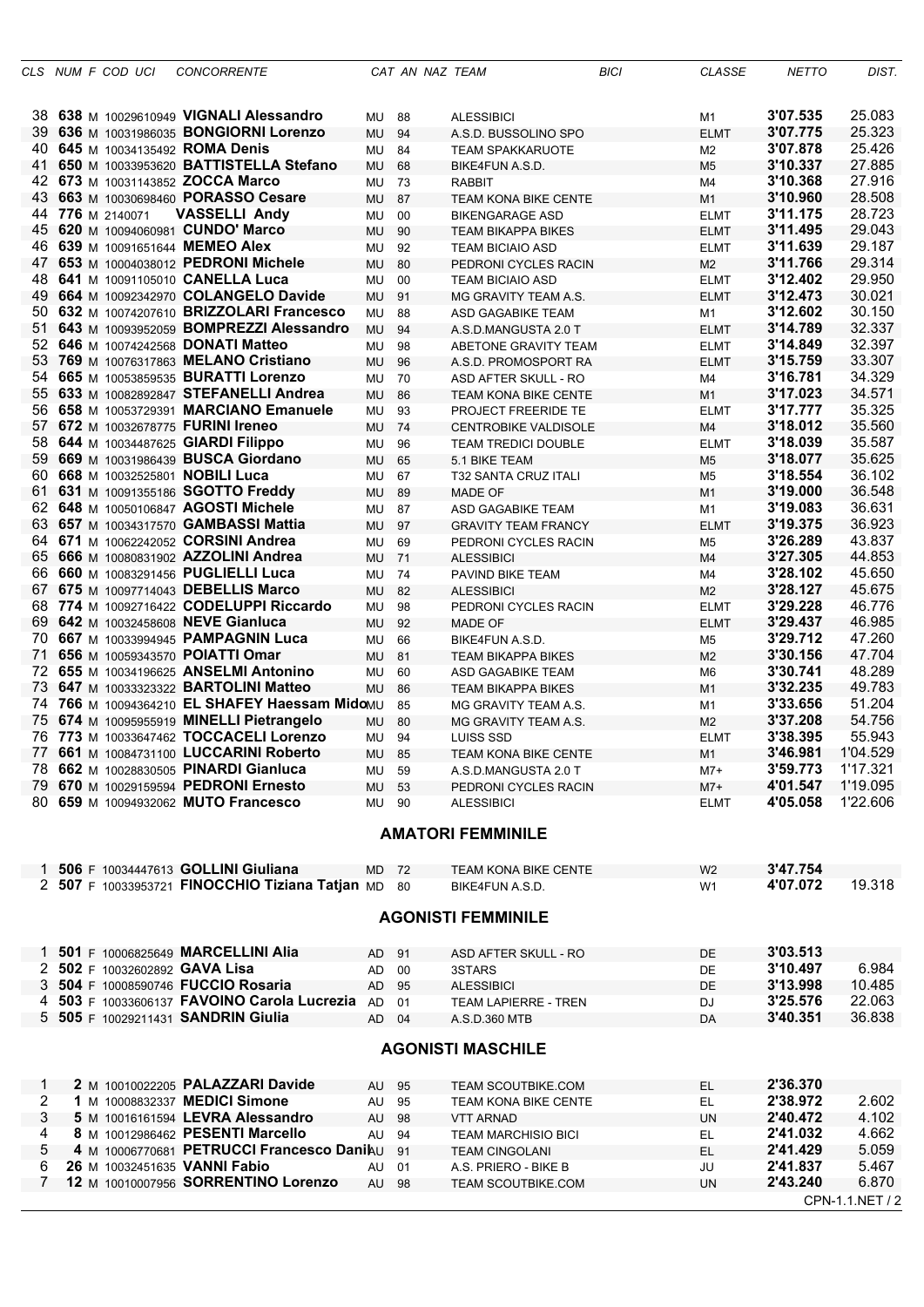|                |  | CLS NUM F COD UCI | <b>CONCORRENTE</b>                                                          |           | CAT AN NAZ TEAM |                                                 | <b>BICI</b> | <b>CLASSE</b>                 | <b>NETTO</b>         | DIST.            |
|----------------|--|-------------------|-----------------------------------------------------------------------------|-----------|-----------------|-------------------------------------------------|-------------|-------------------------------|----------------------|------------------|
|                |  |                   | 38 638 M 10029610949 VIGNALI Alessandro                                     | MU 88     |                 | <b>ALESSIBICI</b>                               |             | M1                            | 3'07.535             | 25.083           |
|                |  |                   | 39 636 M 10031986035 BONGIORNI Lorenzo                                      | MU        | 94              | A.S.D. BUSSOLINO SPO                            |             | <b>ELMT</b>                   | 3'07.775             | 25.323           |
| 40.            |  |                   | 645 M 10034135492 ROMA Denis                                                | MU        | 84              | <b>TEAM SPAKKARUOTE</b>                         |             | M2                            | 3'07.878             | 25.426           |
| 41             |  |                   | 650 M 10033953620 BATTISTELLA Stefano                                       | MU        | 68              | BIKE4FUN A.S.D.                                 |             | M5                            | 3'10.337             | 27.885           |
|                |  |                   | 42 673 M 10031143852 ZOCCA Marco                                            | MU        | 73              | <b>RABBIT</b>                                   |             | M4                            | 3'10.368             | 27.916           |
| 43             |  |                   | 663 M 10030698460 PORASSO Cesare                                            | MU        | 87              | <b>TEAM KONA BIKE CENTE</b>                     |             | M <sub>1</sub>                | 3'10.960             | 28.508           |
|                |  | 44 776 M 2140071  | <b>VASSELLI Andy</b>                                                        | MU        | 00              | <b>BIKENGARAGE ASD</b>                          |             | ELMT                          | 3'11.175             | 28.723           |
|                |  |                   | 45 620 M 10094060981 CUNDO' Marco                                           | MU        | 90              | <b>TEAM BIKAPPA BIKES</b>                       |             | ELMT                          | 3'11.495             | 29.043           |
| 46             |  |                   | 639 M 10091651644 MEMEO Alex                                                | MU        | 92              |                                                 |             |                               | 3'11.639             | 29.187           |
| 47             |  |                   | 653 M 10004038012 PEDRONI Michele                                           | <b>MU</b> | 80              | <b>TEAM BICIAIO ASD</b>                         |             | <b>ELMT</b><br>M <sub>2</sub> | 3'11.766             | 29.314           |
| 48             |  |                   | 641 M 10091105010 CANELLA Luca                                              | MU        | 00              | PEDRONI CYCLES RACIN<br><b>TEAM BICIAIO ASD</b> |             |                               | 3'12.402             | 29.950           |
| 49             |  |                   | 664 M 10092342970 COLANGELO Davide                                          | <b>MU</b> | 91              |                                                 |             | ELMT                          | 3'12.473             | 30.021           |
| 50             |  |                   | 632 M 10074207610 BRIZZOLARI Francesco                                      | MU        | 88              | MG GRAVITY TEAM A.S.                            |             | <b>ELMT</b><br>M1             | 3'12.602             | 30.150           |
| 51             |  |                   | 643 M 10093952059 BOMPREZZI Alessandro                                      | <b>MU</b> | 94              | ASD GAGABIKE TEAM<br>A.S.D.MANGUSTA 2.0 T       |             | <b>ELMT</b>                   | 3'14.789             | 32.337           |
| 52             |  |                   | 646 M 10074242568 DONATI Matteo                                             | MU        | 98              | ABETONE GRAVITY TEAM                            |             |                               | 3'14.849             | 32.397           |
| 53             |  |                   | 769 M 10076317863 MELANO Cristiano                                          | <b>MU</b> | 96              |                                                 |             | ELMT                          | 3'15.759             | 33.307           |
| 54             |  |                   | 665 M 10053859535 BURATTI Lorenzo                                           | MU        | 70              | A.S.D. PROMOSPORT RA                            |             | <b>ELMT</b>                   | 3'16.781             | 34.329           |
|                |  |                   | 55 633 M 10082892847 STEFANELLI Andrea                                      |           | 86              | ASD AFTER SKULL - RO                            |             | M4                            | 3'17.023             | 34.571           |
| 56.            |  |                   | 658 M 10053729391 MARCIANO Emanuele                                         | MU<br>MU  | 93              | <b>TEAM KONA BIKE CENTE</b>                     |             | M <sub>1</sub>                | 3'17.777             | 35.325           |
| 57             |  |                   | 672 M 10032678775 FURINI Ireneo                                             | <b>MU</b> | 74              | PROJECT FREERIDE TE<br>CENTROBIKE VALDISOLE     |             | ELMT                          | 3'18.012             | 35.560           |
| 58             |  |                   | 644 M 10034487625 GIARDI Filippo                                            |           |                 | <b>TEAM TREDICI DOUBLE</b>                      |             | M4                            | 3'18.039             | 35.587           |
| 59             |  |                   | 669 M 10031986439 BUSCA Giordano                                            | MU        | 96              |                                                 |             | <b>ELMT</b>                   | 3'18.077             | 35.625           |
| 60             |  |                   |                                                                             | MU        | 65              | 5.1 BIKE TEAM                                   |             | M <sub>5</sub>                | 3'18.554             | 36.102           |
| 61             |  |                   | 668 M 10032525801 NOBILI Luca                                               | MU        | 67              | T32 SANTA CRUZ ITALI                            |             | M5                            | 3'19.000             | 36.548           |
|                |  |                   | 631 M 10091355186 SGOTTO Freddy                                             | MU        | 89              | <b>MADE OF</b>                                  |             | M <sub>1</sub>                |                      | 36.631           |
|                |  |                   | 62 648 M 10050106847 AGOSTI Michele                                         | MU        | 87              | ASD GAGABIKE TEAM                               |             | M1                            | 3'19.083             | 36.923           |
| 63             |  |                   | 657 M 10034317570 GAMBASSI Mattia                                           | <b>MU</b> | 97              | <b>GRAVITY TEAM FRANCY</b>                      |             | <b>ELMT</b>                   | 3'19.375             |                  |
| 64             |  |                   | 671 M 10062242052 CORSINI Andrea                                            | MU        | 69              | PEDRONI CYCLES RACIN                            |             | M5                            | 3'26.289             | 43.837           |
|                |  |                   | 65 666 M 10080831902 AZZOLINI Andrea<br>66 660 M 10083291456 PUGLIELLI Luca | <b>MU</b> | 71              | <b>ALESSIBICI</b>                               |             | M4                            | 3'27.305<br>3'28.102 | 44.853<br>45.650 |
| 67             |  |                   | 675 M 10097714043 DEBELLIS Marco                                            | MU        | 74              | PAVIND BIKE TEAM                                |             | M4                            | 3'28.127             | 45.675           |
|                |  |                   | 774 M 10092716422 CODELUPPI Riccardo                                        | MU        | 82              | <b>ALESSIBICI</b>                               |             | M <sub>2</sub>                | 3'29.228             | 46.776           |
| 68             |  |                   | 642 M 10032458608 NEVE Gianluca                                             | MU        | 98              | PEDRONI CYCLES RACIN                            |             | <b>ELMT</b>                   | 3'29.437             | 46.985           |
| 69.            |  |                   |                                                                             | MU        | 92              | <b>MADE OF</b>                                  |             | <b>ELMT</b>                   | 3'29.712             | 47.260           |
| 71             |  |                   | 70 667 M 10033994945 PAMPAGNIN Luca<br>656 M 10059343570 POIATTI Omar       | MU        | 66              | BIKE4FUN A.S.D.                                 |             | M5                            | 3'30.156             | 47.704           |
| 72             |  |                   | 655 M 10034196625 ANSELMI Antonino                                          | MU        | 81              | <b>TEAM BIKAPPA BIKES</b>                       |             | M <sub>2</sub>                | 3'30.741             | 48.289           |
| 73             |  |                   | 647 M 10033323322 <b>BARTOLINI Matteo</b>                                   | MU        | 60              | ASD GAGABIKE TEAM                               |             | M6                            | 3'32.235             | 49.783           |
| 74             |  |                   | 766 M 10094364210 EL SHAFEY Haessam MidoMU                                  | <b>MU</b> | 86<br>85        | <b>TEAM BIKAPPA BIKES</b>                       |             | M1                            | 3'33.656             | 51.204           |
|                |  |                   | 75 674 M 10095955919 MINELLI Pietrangelo                                    |           |                 | MG GRAVITY TEAM A.S.                            |             | M1                            | 3'37.208             | 54.756           |
|                |  |                   | 76 773 M 10033647462 TOCCACELI Lorenzo                                      | MU        | 80<br>94        | MG GRAVITY TEAM A.S.                            |             | M <sub>2</sub>                | 3'38.395             | 55.943           |
| 77             |  |                   | 661 M 10084731100 LUCCARINI Roberto                                         | MU<br>MU  | 85              | LUISS SSD<br><b>TEAM KONA BIKE CENTE</b>        |             | <b>ELMT</b><br>M <sub>1</sub> | 3'46.981             | 1'04.529         |
|                |  |                   | 78 662 M 10028830505 PINARDI Gianluca                                       | MU 59     |                 | A.S.D.MANGUSTA 2.0 T                            |             | $M7+$                         | 3'59.773             | 1'17.321         |
|                |  |                   | 79 670 M 10029159594 PEDRONI Ernesto                                        | MU        | 53              | PEDRONI CYCLES RACIN                            |             | $M7+$                         | 4'01.547             | 1'19.095         |
|                |  |                   | 80 659 M 10094932062 MUTO Francesco                                         | MU 90     |                 | <b>ALESSIBICI</b>                               |             | <b>ELMT</b>                   | 4'05.058             | 1'22.606         |
|                |  |                   |                                                                             |           |                 |                                                 |             |                               |                      |                  |
|                |  |                   |                                                                             |           |                 | <b>AMATORI FEMMINILE</b>                        |             |                               |                      |                  |
|                |  |                   |                                                                             |           |                 |                                                 |             |                               |                      |                  |
|                |  |                   | 1 506 F 10034447613 GOLLINI Giuliana                                        | MD 72     |                 | TEAM KONA BIKE CENTE                            |             | W <sub>2</sub>                | 3'47.754             |                  |
|                |  |                   | 2 507 F 10033953721 FINOCCHIO Tiziana Tatjan MD 80                          |           |                 | BIKE4FUN A.S.D.                                 |             | W1                            | 4'07.072             | 19.318           |
|                |  |                   |                                                                             |           |                 | <b>AGONISTI FEMMINILE</b>                       |             |                               |                      |                  |
|                |  |                   |                                                                             |           |                 |                                                 |             |                               |                      |                  |
|                |  |                   | 1 501 F 10006825649 MARCELLINI Alia                                         | AD 91     |                 | ASD AFTER SKULL - RO                            |             | <b>DE</b>                     | 3'03.513             |                  |
|                |  |                   | 2 502 F 10032602892 GAVA Lisa                                               | AD.       | 00              | 3STARS                                          |             | DE                            | 3'10.497             | 6.984            |
|                |  |                   | 3 504 F 10008590746 FUCCIO Rosaria                                          | AD        | 95              | <b>ALESSIBICI</b>                               |             | DE                            | 3'13.998             | 10.485           |
|                |  |                   | 4 503 F 10033606137 FAVOINO Carola Lucrezia AD                              |           | 01              | <b>TEAM LAPIERRE - TREN</b>                     |             | DJ                            | 3'25.576             | 22.063           |
|                |  |                   | 5 505 F 10029211431 SANDRIN Giulia                                          | AD.       | 04              | A.S.D.360 MTB                                   |             | DA                            | 3'40.351             | 36.838           |
|                |  |                   |                                                                             |           |                 |                                                 |             |                               |                      |                  |
|                |  |                   |                                                                             |           |                 | <b>AGONISTI MASCHILE</b>                        |             |                               |                      |                  |
| 1              |  |                   | 2 M 10010022205 PALAZZARI Davide                                            | AU 95     |                 | <b>TEAM SCOUTBIKE.COM</b>                       |             | EL                            | 2'36.370             |                  |
| $\overline{2}$ |  |                   | 1 M 10008832337 MEDICI Simone                                               | AU        | 95              | TEAM KONA BIKE CENTE                            |             | EL                            | 2'38.972             | 2.602            |
| 3              |  |                   | 5 M 10016161594 LEVRA Alessandro                                            | AU        | 98              | <b>VTT ARNAD</b>                                |             | <b>UN</b>                     | 2'40.472             | 4.102            |
| 4              |  |                   | 8 M 10012986462 PESENTI Marcello                                            | AU        | 94              | <b>TEAM MARCHISIO BICI</b>                      |             | EL                            | 2'41.032             | 4.662            |
| 5              |  |                   | 4 M 10006770681 PETRUCCI Francesco Danihu                                   |           | 91              | <b>TEAM CINGOLANI</b>                           |             | EL                            | 2'41.429             | 5.059            |
| 6              |  |                   | 26 M 10032451635 VANNI Fabio                                                | AU        | 01              | A.S. PRIERO - BIKE B                            |             | JU                            | 2'41.837             | 5.467            |
| 7              |  |                   | 12 M 10010007956 SORRENTINO Lorenzo                                         | AU 98     |                 | TEAM SCOUTBIKE.COM                              |             | <b>UN</b>                     | 2'43.240             | 6.870            |
|                |  |                   |                                                                             |           |                 |                                                 |             |                               |                      | CPN-1.1.NET / 2  |
|                |  |                   |                                                                             |           |                 |                                                 |             |                               |                      |                  |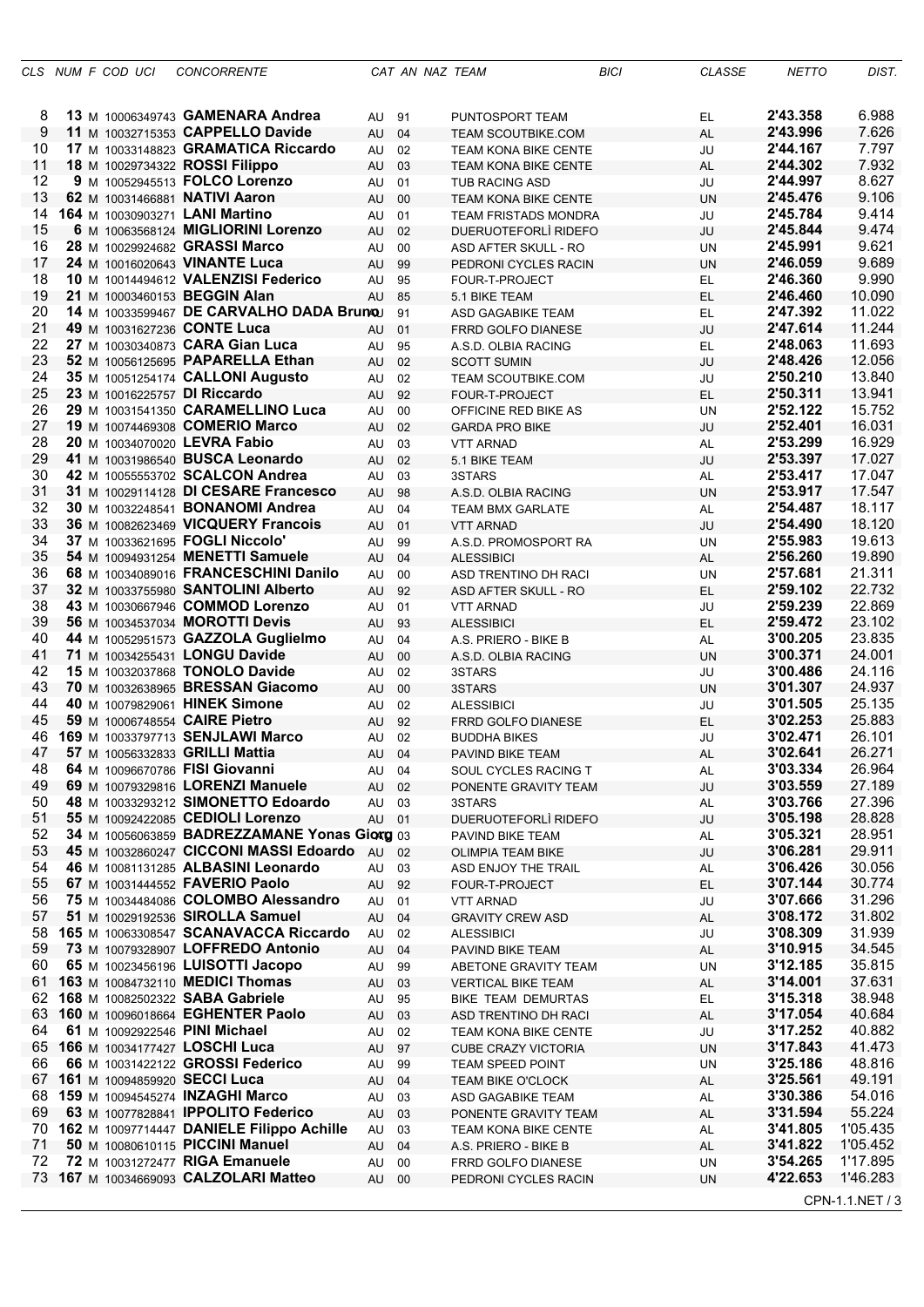|          |  | CLS NUM F COD UCI | <b>CONCORRENTE</b>                                                           |          | CAT AN NAZ TEAM |                                                      | <b>BICI</b> | <b>CLASSE</b>   | <b>NETTO</b>         | DIST.                |
|----------|--|-------------------|------------------------------------------------------------------------------|----------|-----------------|------------------------------------------------------|-------------|-----------------|----------------------|----------------------|
|          |  |                   |                                                                              |          |                 |                                                      |             |                 |                      |                      |
| 8        |  |                   | 13 M 10006349743 GAMENARA Andrea                                             | AU 91    |                 | PUNTOSPORT TEAM                                      |             | EL              | 2'43.358             | 6.988                |
| 9        |  |                   | 11 M 10032715353 CAPPELLO Davide                                             | AU       | 04              | <b>TEAM SCOUTBIKE.COM</b>                            |             | <b>AL</b>       | 2'43.996             | 7.626                |
| 10       |  |                   | 17 M 10033148823 GRAMATICA Riccardo                                          | AU       | 02              | <b>TEAM KONA BIKE CENTE</b>                          |             | JU              | 2'44.167             | 7.797                |
| 11<br>12 |  |                   | 18 M 10029734322 ROSSI Filippo<br>9 M 10052945513 FOLCO Lorenzo              | AU       | 03              | <b>TEAM KONA BIKE CENTE</b>                          |             | AL              | 2'44.302<br>2'44.997 | 7.932<br>8.627       |
| 13       |  |                   | 62 M 10031466881 NATIVI Aaron                                                | AU<br>AU | 01<br>00        | <b>TUB RACING ASD</b><br><b>TEAM KONA BIKE CENTE</b> |             | JU<br><b>UN</b> | 2'45.476             | 9.106                |
| 14       |  |                   | 164 M 10030903271 LANI Martino                                               | AU       | 01              | <b>TEAM FRISTADS MONDRA</b>                          |             | JU              | 2'45.784             | 9.414                |
| 15       |  |                   | 6 M 10063568124 MIGLIORINI Lorenzo                                           | AU       | 02              | DUERUOTEFORLI RIDEFO                                 |             | JU              | 2'45.844             | 9.474                |
| 16       |  |                   | 28 M 10029924682 GRASSI Marco                                                | AU       | 00              | ASD AFTER SKULL - RO                                 |             | UN              | 2'45.991             | 9.621                |
| 17       |  |                   | 24 M 10016020643 VINANTE Luca                                                | AU       | 99              | PEDRONI CYCLES RACIN                                 |             | <b>UN</b>       | 2'46.059             | 9.689                |
| 18       |  |                   | 10 M 10014494612 VALENZISI Federico                                          | AU       | 95              | FOUR-T-PROJECT                                       |             | EL.             | 2'46.360             | 9.990                |
| 19       |  |                   | 21 M 10003460153 BEGGIN Alan                                                 | AU       | 85              | 5.1 BIKE TEAM                                        |             | EL.             | 2'46.460             | 10.090               |
| 20<br>21 |  |                   | 14 M 10033599467 DE CARVALHO DADA Brunou<br>49 M 10031627236 CONTE Luca      |          | 91              | ASD GAGABIKE TEAM                                    |             | <b>EL</b><br>JU | 2'47.392<br>2'47.614 | 11.022<br>11.244     |
| 22       |  |                   | 27 M 10030340873 CARA Gian Luca                                              | AU<br>AU | 01<br>95        | FRRD GOLFO DIANESE<br>A.S.D. OLBIA RACING            |             | EL              | 2'48.063             | 11.693               |
| 23       |  |                   | 52 M 10056125695 PAPARELLA Ethan                                             | AU       | 02              | <b>SCOTT SUMIN</b>                                   |             | JU              | 2'48.426             | 12.056               |
| 24       |  |                   | 35 M 10051254174 CALLONI Augusto                                             | AU       | 02              | <b>TEAM SCOUTBIKE.COM</b>                            |             | JU              | 2'50.210             | 13.840               |
| 25       |  |                   | 23 M 10016225757 DI Riccardo                                                 | AU       | 92              | FOUR-T-PROJECT                                       |             | <b>EL</b>       | 2'50.311             | 13.941               |
| 26       |  |                   | 29 M 10031541350 CARAMELLINO Luca                                            | AU       | 00              | OFFICINE RED BIKE AS                                 |             | UN              | 2'52.122             | 15.752               |
| 27       |  |                   | 19 M 10074469308 COMERIO Marco                                               | AU       | 02              | <b>GARDA PRO BIKE</b>                                |             | JU              | 2'52.401             | 16.031               |
| 28       |  |                   | 20 M 10034070020 LEVRA Fabio                                                 | AU       | 03              | <b>VTT ARNAD</b>                                     |             | AL              | 2'53.299             | 16.929               |
| 29<br>30 |  |                   | 41 M 10031986540 BUSCA Leonardo<br>42 M 10055553702 SCALCON Andrea           | AU<br>AU | 02<br>03        | 5.1 BIKE TEAM<br>3STARS                              |             | JU<br>AL        | 2'53.397<br>2'53.417 | 17.027<br>17.047     |
| 31       |  |                   | 31 M 10029114128 DI CESARE Francesco                                         | AU       | 98              | A.S.D. OLBIA RACING                                  |             | <b>UN</b>       | 2'53.917             | 17.547               |
| 32       |  |                   | 30 M 10032248541 BONANOMI Andrea                                             | AU       | 04              | <b>TEAM BMX GARLATE</b>                              |             | AL              | 2'54.487             | 18.117               |
| 33       |  |                   | 36 M 10082623469 VICQUERY Francois                                           | AU       | 01              | <b>VTT ARNAD</b>                                     |             | JU              | 2'54.490             | 18.120               |
| 34       |  |                   | 37 M 10033621695 FOGLI Niccolo'                                              | AU       | 99              | A.S.D. PROMOSPORT RA                                 |             | UN              | 2'55.983             | 19.613               |
| 35       |  |                   | 54 M 10094931254 MENETTI Samuele                                             | AU       | 04              | <b>ALESSIBICI</b>                                    |             | AL              | 2'56.260             | 19.890               |
| 36       |  |                   | 68 M 10034089016 FRANCESCHINI Danilo                                         | AU       | 00              | ASD TRENTINO DH RACI                                 |             | <b>UN</b>       | 2'57.681             | 21.311               |
| 37       |  |                   | 32 M 10033755980 SANTOLINI Alberto                                           | AU       | 92              | ASD AFTER SKULL - RO                                 |             | <b>EL</b>       | 2'59.102             | 22.732<br>22.869     |
| 38<br>39 |  |                   | 43 M 10030667946 COMMOD Lorenzo<br>56 M 10034537034 MOROTTI Devis            | AU<br>AU | 01<br>93        | <b>VTT ARNAD</b><br><b>ALESSIBICI</b>                |             | JU<br>EL.       | 2'59.239<br>2'59.472 | 23.102               |
| 40       |  |                   | 44 M 10052951573 GAZZOLA Guglielmo                                           | AU       | 04              | A.S. PRIERO - BIKE B                                 |             | AL              | 3'00.205             | 23.835               |
| 41       |  |                   | 71 M 10034255431 LONGU Davide                                                | AU       | 00              | A.S.D. OLBIA RACING                                  |             | <b>UN</b>       | 3'00.371             | 24.001               |
| 42       |  |                   | 15 M 10032037868 TONOLO Davide                                               | AU       | 02              | 3STARS                                               |             | JU              | 3'00.486             | 24.116               |
| 43       |  |                   | 70 M 10032638965 BRESSAN Giacomo                                             | AU       | 00              | 3STARS                                               |             | <b>UN</b>       | 3'01.307             | 24.937               |
| 44       |  |                   | 40 M 10079829061 HINEK Simone                                                | AU       | 02              | <b>ALESSIBICI</b>                                    |             | JU              | 3'01.505             | 25.135               |
| 45       |  |                   | 59 M 10006748554 CAIRE Pietro                                                | AU       | 92              | FRRD GOLFO DIANESE                                   |             | EL              | 3'02.253             | 25.883               |
| 46<br>47 |  |                   | 169 M 10033797713 SENJLAWI Marco<br>57 M 10056332833 GRILLI Mattia           | AU<br>AU | 02<br>04        | <b>BUDDHA BIKES</b><br>PAVIND BIKE TEAM              |             | JU<br>AL        | 3'02.471<br>3'02.641 | 26.101<br>26.271     |
| 48       |  |                   | 64 M 10096670786 FISI Giovanni                                               | AU       | 04              | SOUL CYCLES RACING T                                 |             | AL              | 3'03.334             | 26.964               |
| 49       |  |                   | 69 M 10079329816 LORENZI Manuele                                             | AU       | 02              | PONENTE GRAVITY TEAM                                 |             | JU              | 3'03.559             | 27.189               |
| 50       |  |                   | 48 M 10033293212 SIMONETTO Edoardo                                           | AU       | 03              | 3STARS                                               |             | AL              | 3'03.766             | 27.396               |
| 51       |  |                   | 55 M 10092422085 CEDIOLI Lorenzo                                             | AU       | 01              | DUERUOTEFORLI RIDEFO                                 |             | JU              | 3'05.198             | 28.828               |
| 52       |  |                   | 34 M 10056063859 BADREZZAMANE Yonas Giorg 03                                 |          |                 | PAVIND BIKE TEAM                                     |             | <b>AL</b>       | 3'05.321             | 28.951               |
| 53       |  |                   | 45 M 10032860247 CICCONI MASSI Edoardo                                       | AU       | 02              | <b>OLIMPIA TEAM BIKE</b>                             |             | JU              | 3'06.281             | 29.911               |
| 54<br>55 |  |                   | 46 M 10081131285 ALBASINI Leonardo<br>67 M 10031444552 FAVERIO Paolo         | AU<br>AU | 03<br>92        | ASD ENJOY THE TRAIL<br>FOUR-T-PROJECT                |             | AL<br>EL        | 3'06.426<br>3'07.144 | 30.056<br>30.774     |
| 56       |  |                   | 75 M 10034484086 COLOMBO Alessandro                                          | AU       | 01              | <b>VTT ARNAD</b>                                     |             | JU              | 3'07.666             | 31.296               |
| 57       |  |                   | 51 M 10029192536 SIROLLA Samuel                                              | AU       | 04              | <b>GRAVITY CREW ASD</b>                              |             | <b>AL</b>       | 3'08.172             | 31.802               |
| 58       |  |                   | 165 M 10063308547 SCANAVACCA Riccardo                                        | AU       | 02              | <b>ALESSIBICI</b>                                    |             | JU              | 3'08.309             | 31.939               |
| 59       |  |                   | 73 M 10079328907 LOFFREDO Antonio                                            | AU       | 04              | PAVIND BIKE TEAM                                     |             | <b>AL</b>       | 3'10.915             | 34.545               |
| 60       |  |                   | 65 M 10023456196 LUISOTTI Jacopo                                             | AU       | 99              | ABETONE GRAVITY TEAM                                 |             | UN              | 3'12.185             | 35.815               |
| 61       |  |                   | 163 M 10084732110 MEDICI Thomas                                              | AU       | 03              | <b>VERTICAL BIKE TEAM</b>                            |             | <b>AL</b>       | 3'14.001             | 37.631               |
| 62<br>63 |  |                   | 168 M 10082502322 SABA Gabriele<br>160 M 10096018664 EGHENTER Paolo          | AU       | 95              | BIKE TEAM DEMURTAS                                   |             | EL.             | 3'15.318<br>3'17.054 | 38.948<br>40.684     |
| 64       |  |                   | 61 M 10092922546 PINI Michael                                                | AU<br>AU | 03<br>02        | ASD TRENTINO DH RACI<br>TEAM KONA BIKE CENTE         |             | <b>AL</b><br>JU | 3'17.252             | 40.882               |
| 65       |  |                   | 166 M 10034177427 LOSCHI Luca                                                | AU       | 97              | <b>CUBE CRAZY VICTORIA</b>                           |             | <b>UN</b>       | 3'17.843             | 41.473               |
| 66       |  |                   | 66 M 10031422122 GROSSI Federico                                             | AU       | 99              | TEAM SPEED POINT                                     |             | UN              | 3'25.186             | 48.816               |
| 67       |  |                   | 161 M 10094859920 SECCI Luca                                                 | AU       | 04              | TEAM BIKE O'CLOCK                                    |             | <b>AL</b>       | 3'25.561             | 49.191               |
| 68       |  |                   | 159 M 10094545274 INZAGHI Marco                                              | AU       | 03              | ASD GAGABIKE TEAM                                    |             | <b>AL</b>       | 3'30.386             | 54.016               |
| 69       |  |                   | 63 M 10077828841 IPPOLITO Federico                                           | AU       | 03              | PONENTE GRAVITY TEAM                                 |             | <b>AL</b>       | 3'31.594             | 55.224               |
| 70<br>71 |  |                   | 162 M 10097714447 DANIELE Filippo Achille<br>50 M 10080610115 PICCINI Manuel | AU       | 03              | <b>TEAM KONA BIKE CENTE</b>                          |             | AL              | 3'41.805<br>3'41.822 | 1'05.435<br>1'05.452 |
| 72       |  |                   | 72 M 10031272477 RIGA Emanuele                                               | AU<br>AU | 04<br>00        | A.S. PRIERO - BIKE B<br>FRRD GOLFO DIANESE           |             | <b>AL</b><br>UN | 3'54.265             | 1'17.895             |
|          |  |                   | 73 167 M 10034669093 CALZOLARI Matteo                                        | AU       | - 00            | PEDRONI CYCLES RACIN                                 |             | <b>UN</b>       | 4'22.653             | 1'46.283             |
|          |  |                   |                                                                              |          |                 |                                                      |             |                 |                      | CPN-1.1.NET / 3      |
|          |  |                   |                                                                              |          |                 |                                                      |             |                 |                      |                      |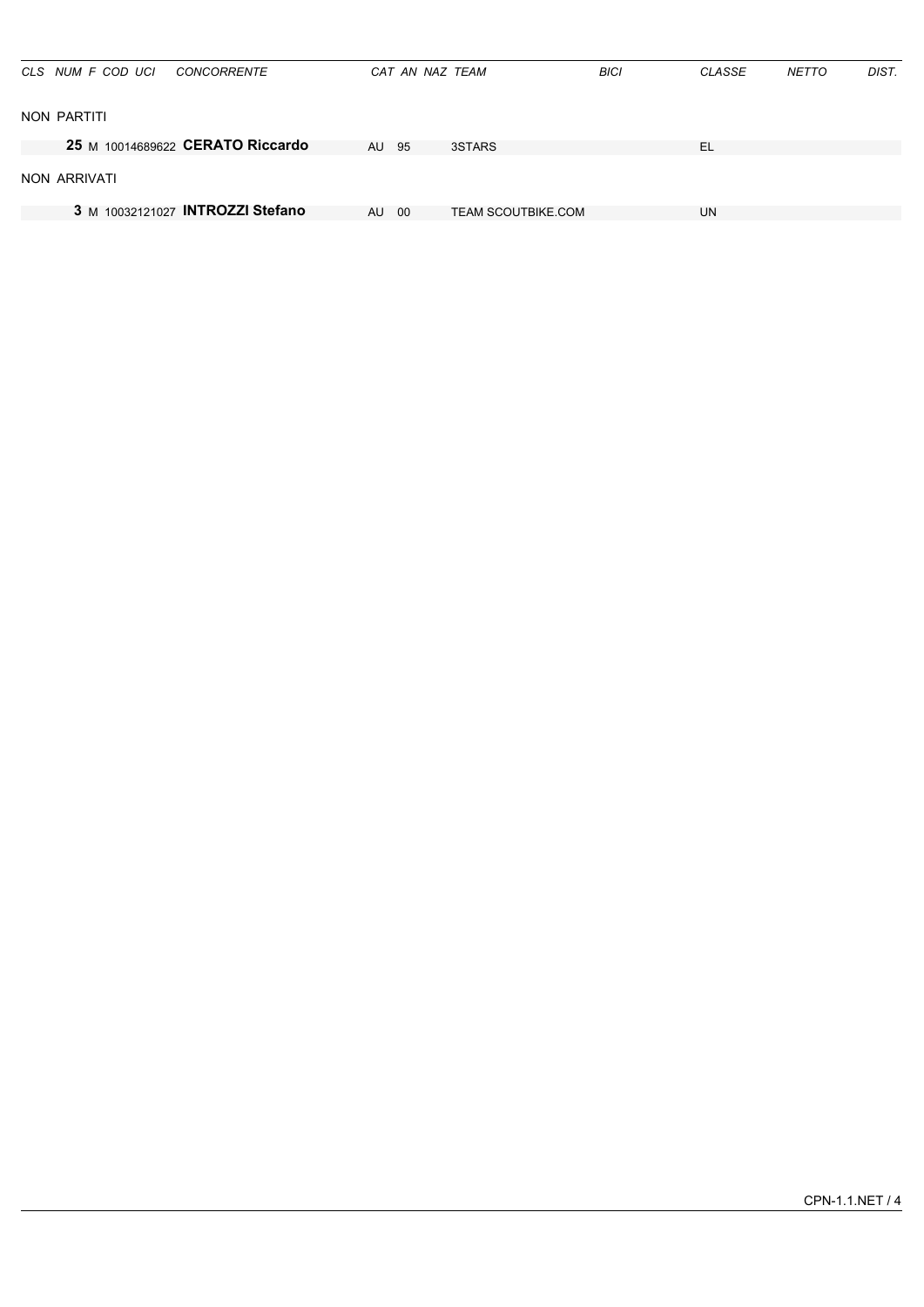| CLS NUM F COD UCI | <b>CONCORRENTE</b>               |           | CAT AN NAZ TEAM |                           | <b>BICI</b> | CLASSE | <b>NETTO</b> | DIST. |
|-------------------|----------------------------------|-----------|-----------------|---------------------------|-------------|--------|--------------|-------|
| NON PARTITI       |                                  |           |                 |                           |             |        |              |       |
|                   | 25 M 10014689622 CERATO Riccardo | AU 95     |                 | 3STARS                    |             | EL     |              |       |
| NON ARRIVATI      |                                  |           |                 |                           |             |        |              |       |
|                   | 3 M 10032121027 INTROZZI Stefano | <b>AU</b> | -00             | <b>TEAM SCOUTBIKE.COM</b> |             | UN     |              |       |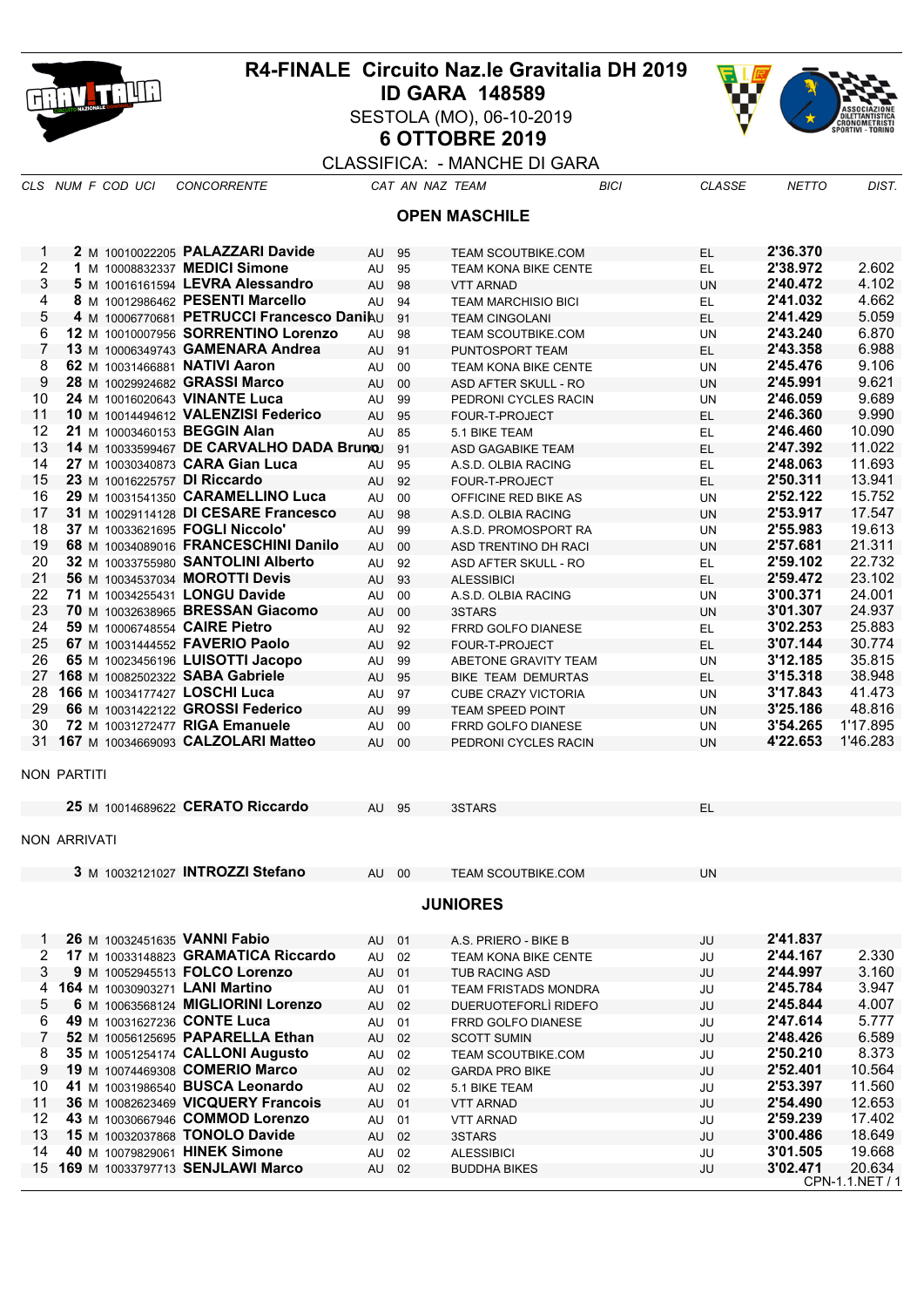

## **R4-FINALE Circuito Naz.le Gravitalia DH 2019 ID GARA 148589** SESTOLA (MO), 06-10-2019 **6 OTTOBRE 2019**



## CLASSIFICA: - MANCHE DI GARA

*CLS NUM F COD UCI CONCORRENTE CAT AN NAZ TEAM BICI CLASSE NETTO DIST.*

**OPEN MASCHILE**

| 1               |              |  |  | 2 M 10010022205 PALAZZARI Davide          | AU    | 95 | <b>TEAM SCOUTBIKE.COM</b>   | EL        | 2'36.370 |                           |  |  |  |
|-----------------|--------------|--|--|-------------------------------------------|-------|----|-----------------------------|-----------|----------|---------------------------|--|--|--|
| 2               |              |  |  | 1 M 10008832337 MEDICI Simone             | AU    | 95 | TEAM KONA BIKE CENTE        | EL        | 2'38.972 | 2.602                     |  |  |  |
| 3               |              |  |  | 5 M 10016161594 LEVRA Alessandro          | AU    | 98 | <b>VTT ARNAD</b>            | <b>UN</b> | 2'40.472 | 4.102                     |  |  |  |
| 4               |              |  |  | 8 M 10012986462 PESENTI Marcello          | AU    | 94 | <b>TEAM MARCHISIO BICI</b>  | EL        | 2'41.032 | 4.662                     |  |  |  |
| 5               |              |  |  | 4 M 10006770681 PETRUCCI Francesco Danihu |       | 91 | <b>TEAM CINGOLANI</b>       | EL        | 2'41.429 | 5.059                     |  |  |  |
| 6               |              |  |  | 12 M 10010007956 SORRENTINO Lorenzo       | AU    | 98 | <b>TEAM SCOUTBIKE.COM</b>   | UN        | 2'43.240 | 6.870                     |  |  |  |
| 7               |              |  |  | 13 M 10006349743 GAMENARA Andrea          | AU    | 91 | PUNTOSPORT TEAM             | EL.       | 2'43.358 | 6.988                     |  |  |  |
| 8               |              |  |  | 62 M 10031466881 NATIVI Aaron             | AU    | 00 | <b>TEAM KONA BIKE CENTE</b> | <b>UN</b> | 2'45.476 | 9.106                     |  |  |  |
| 9               |              |  |  | 28 M 10029924682 GRASSI Marco             | AU    | 00 | ASD AFTER SKULL - RO        | <b>UN</b> | 2'45.991 | 9.621                     |  |  |  |
| 10              |              |  |  | 24 M 10016020643 VINANTE Luca             | AU    | 99 | PEDRONI CYCLES RACIN        | UN        | 2'46.059 | 9.689                     |  |  |  |
| 11              |              |  |  | 10 M 10014494612 VALENZISI Federico       | AU    | 95 | FOUR-T-PROJECT              | <b>EL</b> | 2'46.360 | 9.990                     |  |  |  |
| 12              |              |  |  | 21 M 10003460153 BEGGIN Alan              | AU    | 85 | 5.1 BIKE TEAM               | EL        | 2'46.460 | 10.090                    |  |  |  |
| 13              |              |  |  | 14 M 10033599467 DE CARVALHO DADA BrunoJ  |       | 91 | ASD GAGABIKE TEAM           | <b>EL</b> | 2'47.392 | 11.022                    |  |  |  |
| 14              |              |  |  | 27 M 10030340873 CARA Gian Luca           | AU    | 95 | A.S.D. OLBIA RACING         | EL        | 2'48.063 | 11.693                    |  |  |  |
| 15              |              |  |  | 23 M 10016225757 DI Riccardo              | AU    | 92 | FOUR-T-PROJECT              | EL.       | 2'50.311 | 13.941                    |  |  |  |
| 16              |              |  |  | 29 M 10031541350 CARAMELLINO Luca         | AU    | 00 | OFFICINE RED BIKE AS        | <b>UN</b> | 2'52.122 | 15.752                    |  |  |  |
| 17              |              |  |  | 31 M 10029114128 DI CESARE Francesco      | AU    | 98 | A.S.D. OLBIA RACING         | <b>UN</b> | 2'53.917 | 17.547                    |  |  |  |
| 18              |              |  |  | 37 M 10033621695 FOGLI Niccolo'           | AU    | 99 | A.S.D. PROMOSPORT RA        | UN        | 2'55.983 | 19.613                    |  |  |  |
| 19              |              |  |  | 68 M 10034089016 FRANCESCHINI Danilo      | AU    | 00 | ASD TRENTINO DH RACI        | <b>UN</b> | 2'57.681 | 21.311                    |  |  |  |
| 20              |              |  |  | 32 M 10033755980 SANTOLINI Alberto        | AU    | 92 | ASD AFTER SKULL - RO        | EL        | 2'59.102 | 22.732                    |  |  |  |
| 21              |              |  |  | 56 M 10034537034 MOROTTI Devis            | AU    | 93 | <b>ALESSIBICI</b>           | EL        | 2'59.472 | 23.102                    |  |  |  |
| 22              |              |  |  | 71 M 10034255431 LONGU Davide             | AU    | 00 | A.S.D. OLBIA RACING         | UN        | 3'00.371 | 24.001                    |  |  |  |
| 23              |              |  |  | 70 M 10032638965 BRESSAN Giacomo          | AU    | 00 | 3STARS                      | <b>UN</b> | 3'01.307 | 24.937                    |  |  |  |
| 24              |              |  |  | 59 M 10006748554 CAIRE Pietro             | AU    | 92 | FRRD GOLFO DIANESE          | EL        | 3'02.253 | 25.883                    |  |  |  |
| 25              |              |  |  | 67 M 10031444552 FAVERIO Paolo            | AU    | 92 | FOUR-T-PROJECT              | EL.       | 3'07.144 | 30.774                    |  |  |  |
| 26              |              |  |  | 65 M 10023456196 LUISOTTI Jacopo          | AU    | 99 | ABETONE GRAVITY TEAM        | <b>UN</b> | 3'12.185 | 35.815                    |  |  |  |
| 27              |              |  |  | 168 M 10082502322 SABA Gabriele           | AU    | 95 | <b>BIKE TEAM DEMURTAS</b>   | <b>EL</b> | 3'15.318 | 38.948                    |  |  |  |
| 28              |              |  |  | 166 M 10034177427 LOSCHI Luca             | AU    | 97 | <b>CUBE CRAZY VICTORIA</b>  | <b>UN</b> | 3'17.843 | 41.473                    |  |  |  |
| 29              |              |  |  | 66 M 10031422122 GROSSI Federico          | AU    | 99 | <b>TEAM SPEED POINT</b>     | <b>UN</b> | 3'25.186 | 48.816                    |  |  |  |
| 30              |              |  |  | 72 M 10031272477 RIGA Emanuele            | AU    | 00 | <b>FRRD GOLFO DIANESE</b>   | UN        | 3'54.265 | 1'17.895                  |  |  |  |
|                 |              |  |  | 31 167 M 10034669093 CALZOLARI Matteo     | AU    | 00 | PEDRONI CYCLES RACIN        | <b>UN</b> | 4'22.653 | 1'46.283                  |  |  |  |
|                 | NON PARTITI  |  |  |                                           |       |    |                             |           |          |                           |  |  |  |
|                 |              |  |  | 25 M 10014689622 CERATO Riccardo          | AU 95 |    | 3STARS                      | EL        |          |                           |  |  |  |
|                 | NON ARRIVATI |  |  |                                           |       |    |                             |           |          |                           |  |  |  |
|                 |              |  |  | 3 M 10032121027 INTROZZI Stefano          | AU 00 |    | <b>TEAM SCOUTBIKE.COM</b>   | <b>UN</b> |          |                           |  |  |  |
| <b>JUNIORES</b> |              |  |  |                                           |       |    |                             |           |          |                           |  |  |  |
| 1               |              |  |  | 26 M 10032451635 VANNI Fabio              | AU    | 01 | A.S. PRIERO - BIKE B        | JU        | 2'41.837 |                           |  |  |  |
| 2               |              |  |  | 17 M 10033148823 GRAMATICA Riccardo       | AU    | 02 | TEAM KONA BIKE CENTE        | JU        | 2'44.167 | 2.330                     |  |  |  |
| 3               |              |  |  | 9 M 10052945513 FOLCO Lorenzo             | AU    | 01 | <b>TUB RACING ASD</b>       | JU        | 2'44.997 | 3.160                     |  |  |  |
| 4               |              |  |  | 164 M 10030903271 LANI Martino            | AU    | 01 | <b>TEAM FRISTADS MONDRA</b> | JU        | 2'45.784 | 3.947                     |  |  |  |
| 5               |              |  |  | 6 M 10063568124 MIGLIORINI Lorenzo        | AU    | 02 | DUERUOTEFORLÌ RIDEFO        | JU        | 2'45.844 | 4.007                     |  |  |  |
| 6               |              |  |  | 49 M 10031627236 CONTE Luca               | AU    | 01 | FRRD GOLFO DIANESE          | JU        | 2'47.614 | 5.777                     |  |  |  |
| 7               |              |  |  | 52 M 10056125695 PAPARELLA Ethan          | AU    | 02 | <b>SCOTT SUMIN</b>          | JU        | 2'48.426 | 6.589                     |  |  |  |
| 8               |              |  |  | 35 M 10051254174 CALLONI Augusto          | AU    | 02 | TEAM SCOUTBIKE.COM          | JU        | 2'50.210 | 8.373                     |  |  |  |
| 9               |              |  |  | 19 M 10074469308 COMERIO Marco            | AU    | 02 | <b>GARDA PRO BIKE</b>       | JU        | 2'52.401 | 10.564                    |  |  |  |
| 10              |              |  |  | 41 M 10031986540 BUSCA Leonardo           | AU    | 02 | 5.1 BIKE TEAM               | JU        | 2'53.397 | 11.560                    |  |  |  |
| 11              |              |  |  | 36 M 10082623469 VICQUERY Francois        | AU    | 01 | <b>VTT ARNAD</b>            | JU        | 2'54.490 | 12.653                    |  |  |  |
| 12              |              |  |  | 43 M 10030667946 COMMOD Lorenzo           | AU    | 01 | <b>VTT ARNAD</b>            | JU        | 2'59.239 | 17.402                    |  |  |  |
| 13              |              |  |  | 15 M 10032037868 TONOLO Davide            | AU    | 02 | 3STARS                      | JU        | 3'00.486 | 18.649                    |  |  |  |
| 14              |              |  |  | 40 M 10079829061 HINEK Simone             | AU    | 02 | <b>ALESSIBICI</b>           | JU        | 3'01.505 | 19.668                    |  |  |  |
|                 |              |  |  | 15 169 M 10033797713 SENJLAWI Marco       | AU 02 |    | <b>BUDDHA BIKES</b>         | JU        | 3'02.471 | 20.634<br>CPN-1.1.NET / 1 |  |  |  |
|                 |              |  |  |                                           |       |    |                             |           |          |                           |  |  |  |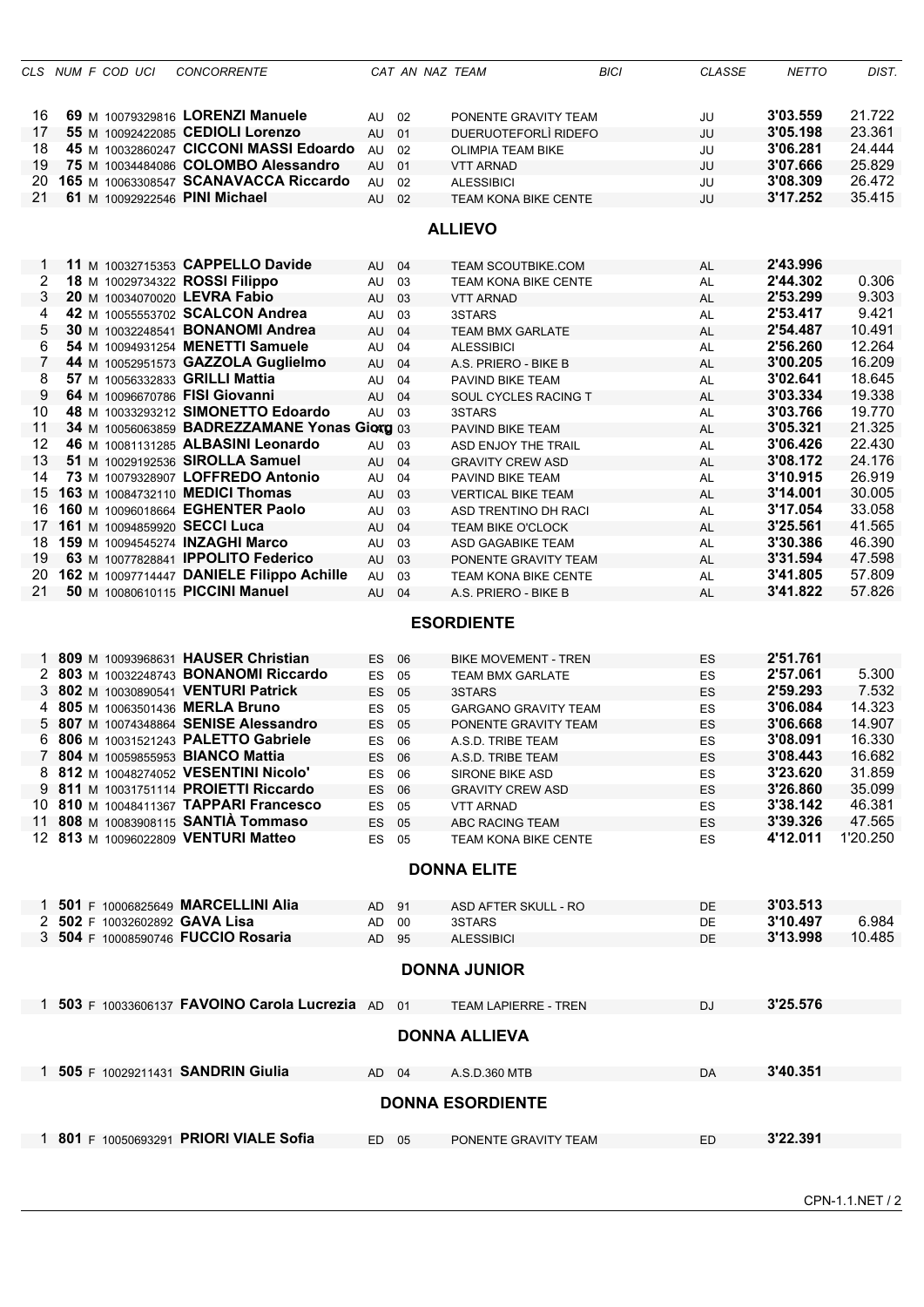|          |  | CLS NUM F COD UCI | <b>CONCORRENTE</b>                                                    |           | CAT AN NAZ TEAM |                             | <b>BICI</b> | <b>CLASSE</b> | <b>NETTO</b>         | DIST.            |
|----------|--|-------------------|-----------------------------------------------------------------------|-----------|-----------------|-----------------------------|-------------|---------------|----------------------|------------------|
| 16       |  |                   | 69 M 10079329816 LORENZI Manuele                                      | AU        | 02              | PONENTE GRAVITY TEAM        |             | JU            | 3'03.559             | 21.722           |
| 17       |  |                   | 55 M 10092422085 CEDIOLI Lorenzo                                      | AU        | 01              | DUERUOTEFORLÌ RIDEFO        |             | JU            | 3'05.198             | 23.361           |
| 18       |  |                   | 45 M 10032860247 CICCONI MASSI Edoardo                                | AU        | 02              | <b>OLIMPIA TEAM BIKE</b>    |             | JU            | 3'06.281             | 24.444           |
| 19       |  |                   | 75 M 10034484086 COLOMBO Alessandro                                   | AU        | 01              | <b>VTT ARNAD</b>            |             | JU            | 3'07.666             | 25.829           |
| 20.      |  |                   | 165 M 10063308547 SCANAVACCA Riccardo                                 | AU        | 02              | <b>ALESSIBICI</b>           |             | JU            | 3'08.309             | 26.472           |
| 21       |  |                   | 61 M 10092922546 PINI Michael                                         | AU        | 02              | <b>TEAM KONA BIKE CENTE</b> |             | JU            | 3'17.252             | 35.415           |
|          |  |                   |                                                                       |           |                 | <b>ALLIEVO</b>              |             |               |                      |                  |
|          |  |                   |                                                                       |           |                 |                             |             |               |                      |                  |
| 1        |  |                   | 11 M 10032715353 CAPPELLO Davide                                      | AU 04     |                 | TEAM SCOUTBIKE.COM          |             | <b>AL</b>     | 2'43.996             |                  |
| 2        |  |                   | 18 M 10029734322 ROSSI Filippo                                        | AU        | 03              | <b>TEAM KONA BIKE CENTE</b> |             | AL            | 2'44.302             | 0.306            |
| 3        |  |                   | 20 M 10034070020 LEVRA Fabio                                          | AU        | 03              | <b>VTT ARNAD</b>            |             | <b>AL</b>     | 2'53.299             | 9.303            |
| 4        |  |                   | 42 M 10055553702 SCALCON Andrea                                       | AU        | 03              | 3STARS                      |             | AL            | 2'53.417             | 9.421            |
| 5        |  |                   | 30 M 10032248541 BONANOMI Andrea                                      | AU        | 04              | <b>TEAM BMX GARLATE</b>     |             | <b>AL</b>     | 2'54.487             | 10.491           |
| 6        |  |                   | 54 M 10094931254 MENETTI Samuele                                      | AU        | 04              | <b>ALESSIBICI</b>           |             | AL            | 2'56.260             | 12.264           |
| 7        |  |                   | 44 M 10052951573 GAZZOLA Guglielmo                                    | AU        | 04              | A.S. PRIERO - BIKE B        |             | <b>AL</b>     | 3'00.205             | 16.209           |
| 8        |  |                   | 57 M 10056332833 GRILLI Mattia                                        | AU        | 04              | PAVIND BIKE TEAM            |             | AL            | 3'02.641             | 18.645           |
| 9        |  |                   | 64 M 10096670786 FISI Giovanni                                        | AU        | 04              | SOUL CYCLES RACING T        |             | <b>AL</b>     | 3'03.334             | 19.338           |
| 10       |  |                   | 48 M 10033293212 SIMONETTO Edoardo                                    | AU 03     |                 | 3STARS                      |             | AL            | 3'03.766             | 19.770           |
| 11       |  |                   | 34 M 10056063859 BADREZZAMANE Yonas Giorg 03                          |           |                 | PAVIND BIKE TEAM            |             | <b>AL</b>     | 3'05.321             | 21.325           |
| 12       |  |                   | 46 M 10081131285 ALBASINI Leonardo                                    | AU        | 03              | ASD ENJOY THE TRAIL         |             | AL            | 3'06.426             | 22.430           |
| 13       |  |                   | 51 M 10029192536 SIROLLA Samuel                                       | AU        | 04              | <b>GRAVITY CREW ASD</b>     |             | <b>AL</b>     | 3'08.172             | 24.176           |
| 14       |  |                   | 73 M 10079328907 LOFFREDO Antonio                                     | AU        | 04              | PAVIND BIKE TEAM            |             | AL            | 3'10.915             | 26.919           |
|          |  |                   | 15 163 M 10084732110 MEDICI Thomas                                    | AU        | 03              | <b>VERTICAL BIKE TEAM</b>   |             | <b>AL</b>     | 3'14.001             | 30.005           |
| 16       |  |                   | 160 M 10096018664 EGHENTER Paolo                                      | AU        | 03              | ASD TRENTINO DH RACI        |             | AL            | 3'17.054             | 33.058           |
| 17<br>18 |  |                   | 161 M 10094859920 SECCI Luca                                          | AU        | 04              | <b>TEAM BIKE O'CLOCK</b>    |             | <b>AL</b>     | 3'25.561<br>3'30.386 | 41.565<br>46.390 |
| 19       |  |                   | 159 M 10094545274 INZAGHI Marco<br>63 M 10077828841 IPPOLITO Federico | AU        | 03              | ASD GAGABIKE TEAM           |             | AL            | 3'31.594             | 47.598           |
| 20       |  |                   | 162 M 10097714447 DANIELE Filippo Achille                             | AU        | 03              | PONENTE GRAVITY TEAM        |             | <b>AL</b>     | 3'41.805             | 57.809           |
| 21       |  |                   | 50 M 10080610115 PICCINI Manuel                                       | AU<br>AU  | 03              | <b>TEAM KONA BIKE CENTE</b> |             | AL            | 3'41.822             | 57.826           |
|          |  |                   |                                                                       |           | 04              | A.S. PRIERO - BIKE B        |             | AL            |                      |                  |
|          |  |                   |                                                                       |           |                 | <b>ESORDIENTE</b>           |             |               |                      |                  |
|          |  |                   | 1 809 M 10093968631 HAUSER Christian                                  | ES.       | 06              | <b>BIKE MOVEMENT - TREN</b> |             | <b>ES</b>     | 2'51.761             |                  |
|          |  |                   | 2 803 M 10032248743 BONANOMI Riccardo                                 | ES        | 05              | <b>TEAM BMX GARLATE</b>     |             | ES            | 2'57.061             | 5.300            |
|          |  |                   | 3 802 M 10030890541 VENTURI Patrick                                   | ES        | 05              | 3STARS                      |             | ES            | 2'59.293             | 7.532            |
|          |  |                   | 4 805 M 10063501436 MERLA Bruno                                       | <b>ES</b> | 05              | <b>GARGANO GRAVITY TEAM</b> |             | ES            | 3'06.084             | 14.323           |
| 5.       |  |                   | 807 M 10074348864 SENISE Alessandro                                   | <b>ES</b> | 05              | PONENTE GRAVITY TEAM        |             | <b>ES</b>     | 3'06.668             | 14.907           |
|          |  |                   | 6 806 M 10031521243 PALETTO Gabriele                                  | <b>ES</b> | 06              | A.S.D. TRIBE TEAM           |             | ES            | 3'08.091             | 16.330           |
|          |  |                   | 7 804 M 10059855953 BIANCO Mattia                                     | ES 06     |                 | A.S.D. TRIBE TEAM           |             | ES            | 3'08.443             | 16.682           |
|          |  |                   | 8 812 M 10048274052 VESENTINI Nicolo'                                 | ES 06     |                 | <b>SIRONE BIKE ASD</b>      |             | ES            | 3'23.620             | 31.859           |
|          |  |                   | 9 811 M 10031751114 PROIETTI Riccardo                                 | ES 06     |                 | <b>GRAVITY CREW ASD</b>     |             | <b>ES</b>     | 3'26.860             | 35.099           |
|          |  |                   | 10 810 M 10048411367 TAPPARI Francesco                                | ES 05     |                 | <b>VTT ARNAD</b>            |             | ES            | 3'38.142             | 46.381           |
|          |  |                   | 11 808 M 10083908115 SANTIA Tommaso                                   | ES 05     |                 | ABC RACING TEAM             |             | <b>ES</b>     | 3'39.326             | 47.565           |
|          |  |                   | 12 813 M 10096022809 VENTURI Matteo                                   | ES 05     |                 | TEAM KONA BIKE CENTE        |             | <b>ES</b>     | 4'12.011             | 1'20.250         |
|          |  |                   |                                                                       |           |                 | <b>DONNA ELITE</b>          |             |               |                      |                  |
|          |  |                   |                                                                       |           |                 |                             |             |               |                      |                  |
|          |  |                   | 1 501 F 10006825649 MARCELLINI Alia                                   | AD 91     |                 | ASD AFTER SKULL - RO        |             | <b>DE</b>     | 3'03.513             |                  |
|          |  |                   | 2 502 F 10032602892 GAVA Lisa                                         | AD        | 00              | 3STARS                      |             | DE            | 3'10.497             | 6.984            |
|          |  |                   | 3 504 F 10008590746 FUCCIO Rosaria                                    | AD 95     |                 | <b>ALESSIBICI</b>           |             | <b>DE</b>     | 3'13.998             | 10.485           |
|          |  |                   |                                                                       |           |                 | <b>DONNA JUNIOR</b>         |             |               |                      |                  |
|          |  |                   |                                                                       |           |                 |                             |             |               |                      |                  |
|          |  |                   | 1 503 F 10033606137 FAVOINO Carola Lucrezia AD                        |           | 01              | <b>TEAM LAPIERRE - TREN</b> |             | <b>DJ</b>     | 3'25.576             |                  |
|          |  |                   |                                                                       |           |                 | <b>DONNA ALLIEVA</b>        |             |               |                      |                  |
|          |  |                   | 1 505 F 10029211431 SANDRIN Giulia                                    | AD 04     |                 | A.S.D.360 MTB               |             | DA            | 3'40.351             |                  |
|          |  |                   |                                                                       |           |                 |                             |             |               |                      |                  |
|          |  |                   |                                                                       |           |                 | <b>DONNA ESORDIENTE</b>     |             |               |                      |                  |
|          |  |                   | 1 801 F 10050693291 PRIORI VIALE Sofia                                | ED 05     |                 | PONENTE GRAVITY TEAM        |             | ED            | 3'22.391             |                  |
|          |  |                   |                                                                       |           |                 |                             |             |               |                      |                  |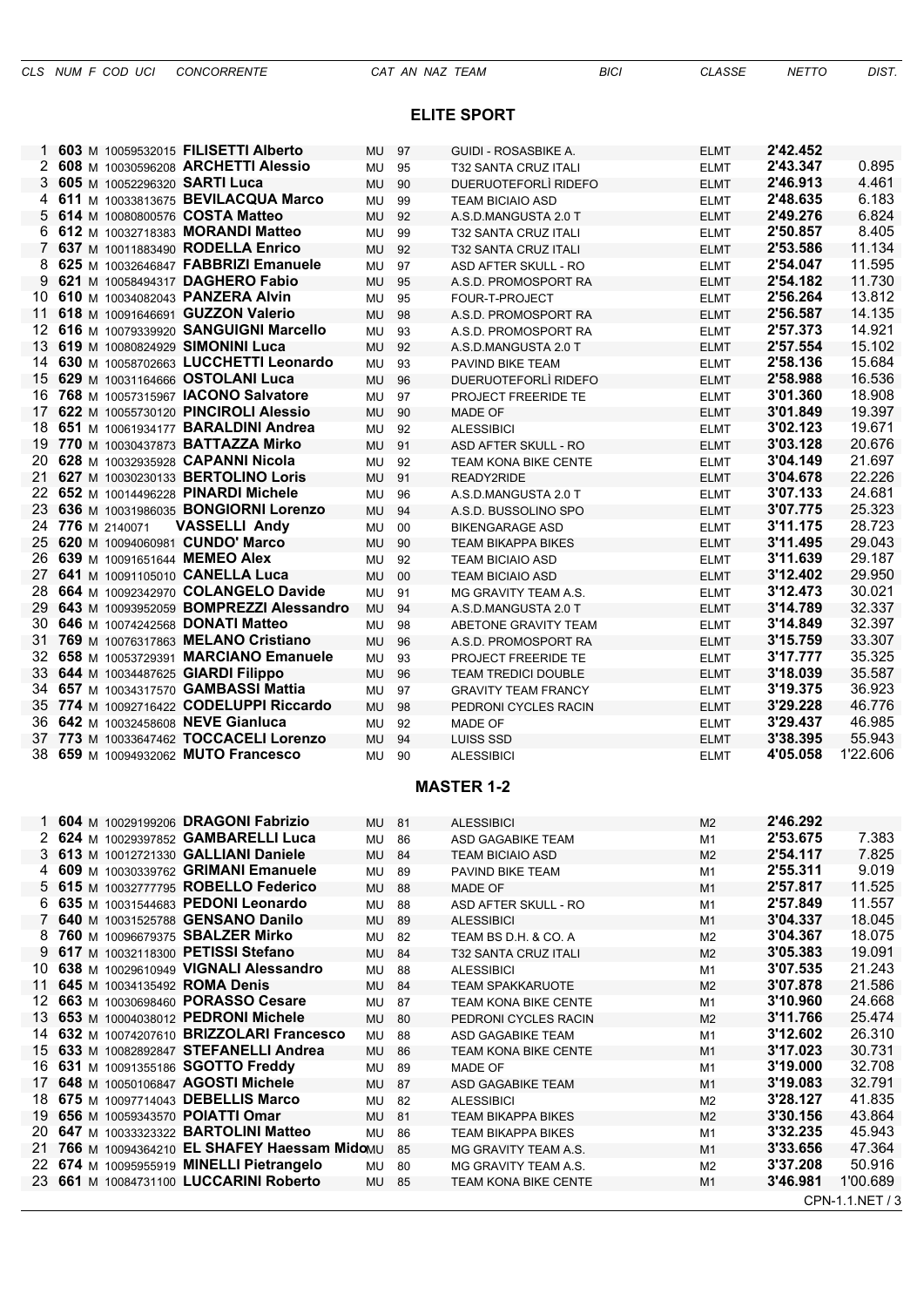## **ELITE SPORT**

|     | 1 603 M 10059532015 FILISETTI Alberto         | <b>MU</b> | 97 | GUIDI - ROSASBIKE A.        | <b>ELMT</b>    | 2'42.452 |                 |
|-----|-----------------------------------------------|-----------|----|-----------------------------|----------------|----------|-----------------|
|     | 2 608 M 10030596208 ARCHETTI Alessio          | MU        | 95 | T32 SANTA CRUZ ITALI        | <b>ELMT</b>    | 2'43.347 | 0.895           |
|     | 3 605 M 10052296320 SARTI Luca                | <b>MU</b> | 90 | DUERUOTEFORLÌ RIDEFO        | <b>ELMT</b>    | 2'46.913 | 4.461           |
|     | 4 611 M 10033813675 BEVILACQUA Marco          | <b>MU</b> | 99 | <b>TEAM BICIAIO ASD</b>     | <b>ELMT</b>    | 2'48.635 | 6.183           |
|     | 5 614 M 10080800576 COSTA Matteo              | <b>MU</b> | 92 | A.S.D.MANGUSTA 2.0 T        | <b>ELMT</b>    | 2'49.276 | 6.824           |
|     | 6 612 M 10032718383 MORANDI Matteo            | MU        | 99 | <b>T32 SANTA CRUZ ITALI</b> | <b>ELMT</b>    | 2'50.857 | 8.405           |
|     | 7 637 M 10011883490 RODELLA Enrico            | <b>MU</b> | 92 | T32 SANTA CRUZ ITALI        | <b>ELMT</b>    | 2'53.586 | 11.134          |
| 8   | 625 M 10032646847 FABBRIZI Emanuele           | MU        | 97 | ASD AFTER SKULL - RO        | <b>ELMT</b>    | 2'54.047 | 11.595          |
|     | 9 621 M 10058494317 DAGHERO Fabio             | <b>MU</b> | 95 | A.S.D. PROMOSPORT RA        | <b>ELMT</b>    | 2'54.182 | 11.730          |
|     | 10 610 M 10034082043 PANZERA Alvin            | MU        | 95 | FOUR-T-PROJECT              | <b>ELMT</b>    | 2'56.264 | 13.812          |
| 11  | 618 M 10091646691 GUZZON Valerio              | MU        | 98 | A.S.D. PROMOSPORT RA        | <b>ELMT</b>    | 2'56.587 | 14.135          |
|     | 12 616 M 10079339920 SANGUIGNI Marcello       | MU        | 93 | A.S.D. PROMOSPORT RA        | <b>ELMT</b>    | 2'57.373 | 14.921          |
|     | 13 619 M 10080824929 SIMONINI Luca            | <b>MU</b> | 92 | A.S.D.MANGUSTA 2.0 T        | <b>ELMT</b>    | 2'57.554 | 15.102          |
|     | 14 630 M 10058702663 LUCCHETTI Leonardo       | <b>MU</b> | 93 | PAVIND BIKE TEAM            | <b>ELMT</b>    | 2'58.136 | 15.684          |
|     | 15 629 M 10031164666 OSTOLANI Luca            | <b>MU</b> | 96 |                             |                | 2'58.988 | 16.536          |
|     | 16 768 M 10057315967 IACONO Salvatore         |           |    | DUERUOTEFORLÌ RIDEFO        | <b>ELMT</b>    | 3'01.360 | 18.908          |
|     |                                               | MU        | 97 | PROJECT FREERIDE TE         | <b>ELMT</b>    |          |                 |
| 17  | 622 M 10055730120 PINCIROLI Alessio           | <b>MU</b> | 90 | MADE OF                     | <b>ELMT</b>    | 3'01.849 | 19.397          |
|     | 18 651 M 10061934177 BARALDINI Andrea         | MU        | 92 | <b>ALESSIBICI</b>           | <b>ELMT</b>    | 3'02.123 | 19.671          |
|     | 19 770 M 10030437873 BATTAZZA Mirko           | MU        | 91 | ASD AFTER SKULL - RO        | <b>ELMT</b>    | 3'03.128 | 20.676          |
|     | 20 628 M 10032935928 CAPANNI Nicola           | MU        | 92 | <b>TEAM KONA BIKE CENTE</b> | <b>ELMT</b>    | 3'04.149 | 21.697          |
|     | 21 627 M 10030230133 BERTOLINO Loris          | <b>MU</b> | 91 | READY2RIDE                  | <b>ELMT</b>    | 3'04.678 | 22.226          |
|     | 22 652 M 10014496228 PINARDI Michele          | <b>MU</b> | 96 | A.S.D.MANGUSTA 2.0 T        | <b>ELMT</b>    | 3'07.133 | 24.681          |
|     | 23 636 M 10031986035 BONGIORNI Lorenzo        | <b>MU</b> | 94 | A.S.D. BUSSOLINO SPO        | <b>ELMT</b>    | 3'07.775 | 25.323          |
|     | 24 776 M 2140071<br><b>VASSELLI Andy</b>      | MU        | 00 | <b>BIKENGARAGE ASD</b>      | ELMT           | 3'11.175 | 28.723          |
| 25  | 620 M 10094060981 CUNDO' Marco                | MU        | 90 | <b>TEAM BIKAPPA BIKES</b>   | <b>ELMT</b>    | 3'11.495 | 29.043          |
|     | 26 639 M 10091651644 MEMEO Alex               | MU        | 92 | <b>TEAM BICIAIO ASD</b>     | <b>ELMT</b>    | 3'11.639 | 29.187          |
| 27  | 641 M 10091105010 CANELLA Luca                | MU        | 00 | <b>TEAM BICIAIO ASD</b>     | <b>ELMT</b>    | 3'12.402 | 29.950          |
|     | 28 664 M 10092342970 COLANGELO Davide         | MU        | 91 | MG GRAVITY TEAM A.S.        | <b>ELMT</b>    | 3'12.473 | 30.021          |
| 29  | 643 M 10093952059 BOMPREZZI Alessandro        | <b>MU</b> | 94 | A.S.D.MANGUSTA 2.0 T        | <b>ELMT</b>    | 3'14.789 | 32.337          |
| 30  | 646 M 10074242568 DONATI Matteo               | MU        | 98 | ABETONE GRAVITY TEAM        | <b>ELMT</b>    | 3'14.849 | 32.397          |
| 31. | 769 M 10076317863 MELANO Cristiano            | MU        | 96 | A.S.D. PROMOSPORT RA        | <b>ELMT</b>    | 3'15.759 | 33.307          |
|     | 32 658 M 10053729391 MARCIANO Emanuele        | MU        | 93 | PROJECT FREERIDE TE         | ELMT           | 3'17.777 | 35.325          |
|     | 33 644 M 10034487625 GIARDI Filippo           | MU        | 96 | <b>TEAM TREDICI DOUBLE</b>  | <b>ELMT</b>    | 3'18.039 | 35.587          |
|     | 34 657 M 10034317570 GAMBASSI Mattia          | MU        | 97 | <b>GRAVITY TEAM FRANCY</b>  | <b>ELMT</b>    | 3'19.375 | 36.923          |
|     | 35 774 M 10092716422 CODELUPPI Riccardo       | MU        | 98 | PEDRONI CYCLES RACIN        | <b>ELMT</b>    | 3'29.228 | 46.776          |
|     | 36 642 M 10032458608 NEVE Gianluca            | MU        | 92 | MADE OF                     | <b>ELMT</b>    | 3'29.437 | 46.985          |
|     | 37 773 M 10033647462 TOCCACELI Lorenzo        | MU        | 94 | <b>LUISS SSD</b>            | <b>ELMT</b>    | 3'38.395 | 55.943          |
|     | 38 659 M 10094932062 MUTO Francesco           | MU        | 90 | <b>ALESSIBICI</b>           | <b>ELMT</b>    | 4'05.058 | 1'22.606        |
|     |                                               |           |    | <b>MASTER 1-2</b>           |                |          |                 |
|     |                                               |           |    |                             |                |          |                 |
|     | 1 604 M 10029199206 DRAGONI Fabrizio          | MU 81     |    | <b>ALESSIBICI</b>           | M <sub>2</sub> | 2'46.292 |                 |
|     | 2 624 M 10029397852 GAMBARELLI Luca           | MU        | 86 | ASD GAGABIKE TEAM           | M1             | 2'53.675 | 7.383           |
|     | 3 613 M 10012721330 GALLIANI Daniele          | <b>MU</b> | 84 | <b>TEAM BICIAIO ASD</b>     | M <sub>2</sub> | 2'54.117 | 7.825           |
|     | 4 609 M 10030339762 GRIMANI Emanuele          | MU        | 89 | PAVIND BIKE TEAM            | M1             | 2'55.311 | 9.019           |
|     | 5 615 M 10032777795 ROBELLO Federico          | <b>MU</b> | 88 | MADE OF                     | M <sub>1</sub> | 2'57.817 | 11.525          |
|     | 6 635 M 10031544683 PEDONI Leonardo           | MU        | 88 | ASD AFTER SKULL - RO        | M1             | 2'57.849 | 11.557          |
| 7   | 640 M 10031525788 GENSANO Danilo              | <b>MU</b> | 89 | <b>ALESSIBICI</b>           | M1             | 3'04.337 | 18.045          |
|     | 8 760 M 10096679375 SBALZER Mirko             | MU        | 82 | TEAM BS D.H. & CO. A        | M <sub>2</sub> | 3'04.367 | 18.075          |
|     | 9 617 M 10032118300 PETISSI Stefano           | MU        | 84 | <b>T32 SANTA CRUZ ITALI</b> | M <sub>2</sub> | 3'05.383 | 19.091          |
|     | 10 638 M 10029610949 VIGNALI Alessandro       | MU        | 88 | <b>ALESSIBICI</b>           | M1             | 3'07.535 | 21.243          |
| 11  | 645 M 10034135492 ROMA Denis                  | MU        | 84 | <b>TEAM SPAKKARUOTE</b>     | M <sub>2</sub> | 3'07.878 | 21.586          |
|     | 12 663 M 10030698460 PORASSO Cesare           | MU        | 87 | TEAM KONA BIKE CENTE        | M1             | 3'10.960 | 24.668          |
|     | 13 653 M 10004038012 PEDRONI Michele          | MU        | 80 | PEDRONI CYCLES RACIN        | M <sub>2</sub> | 3'11.766 | 25.474          |
|     | 14 632 M 10074207610 BRIZZOLARI Francesco     | MU        | 88 | ASD GAGABIKE TEAM           | M1             | 3'12.602 | 26.310          |
|     | 15 633 M 10082892847 STEFANELLI Andrea        | MU        | 86 | TEAM KONA BIKE CENTE        | M <sub>1</sub> | 3'17.023 | 30.731          |
|     | 16 631 M 10091355186 SGOTTO Freddy            | MU        | 89 | MADE OF                     | M1             | 3'19.000 | 32.708          |
|     | 17 648 M 10050106847 AGOSTI Michele           | MU        | 87 | ASD GAGABIKE TEAM           | M <sub>1</sub> | 3'19.083 | 32.791          |
|     | 18 675 M 10097714043 DEBELLIS Marco           | MU        | 82 | <b>ALESSIBICI</b>           | M <sub>2</sub> | 3'28.127 | 41.835          |
|     | 19 656 M 10059343570 POIATTI Omar             | MU        | 81 | <b>TEAM BIKAPPA BIKES</b>   | M <sub>2</sub> | 3'30.156 | 43.864          |
|     | 20 647 M 10033323322 BARTOLINI Matteo         | MU        | 86 | <b>TEAM BIKAPPA BIKES</b>   | M1             | 3'32.235 | 45.943          |
|     | 21 766 M 10094364210 EL SHAFEY Haessam MidoMU |           | 85 | MG GRAVITY TEAM A.S.        | M1             | 3'33.656 | 47.364          |
|     | 22 674 M 10095955919 MINELLI Pietrangelo      | MU        | 80 | MG GRAVITY TEAM A.S.        | M <sub>2</sub> | 3'37.208 | 50.916          |
|     | 23 661 M 10084731100 LUCCARINI Roberto        | MU 85     |    | TEAM KONA BIKE CENTE        | M <sub>1</sub> | 3'46.981 | 1'00.689        |
|     |                                               |           |    |                             |                |          | CPN-1.1.NET / 3 |
|     |                                               |           |    |                             |                |          |                 |